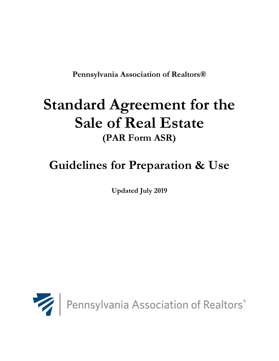**Pennsylvania Association of Realtors®** 

# **Standard Agreement for the Sale of Real Estate (PAR Form ASR)**

# **Guidelines for Preparation & Use**

**Updated July 2019**

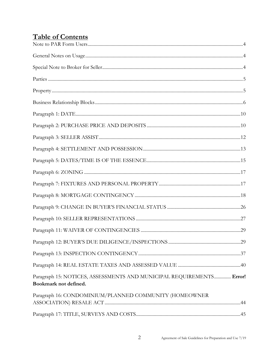# **Table of Contents**

| Paragraph 15: NOTICES, ASSESSMENTS AND MUNICIPAL REQUIREMENTS Error!<br>Bookmark not defined. |  |
|-----------------------------------------------------------------------------------------------|--|
| Paragraph 16: CONDOMINIUM/PLANNED COMMUNITY (HOMEOWNER                                        |  |
|                                                                                               |  |
|                                                                                               |  |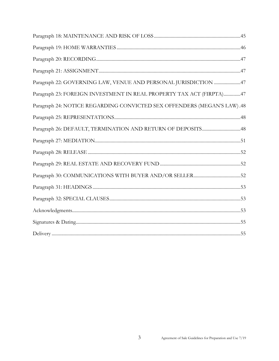| Paragraph 22: GOVERNING LAW, VENUE AND PERSONAL JURISDICTION 47         |
|-------------------------------------------------------------------------|
| Paragraph 23: FOREIGN INVESTMENT IN REAL PROPERTY TAX ACT (FIRPTA)47    |
| Paragraph 24: NOTICE REGARDING CONVICTED SEX OFFENDERS (MEGAN'S LAW).48 |
|                                                                         |
|                                                                         |
|                                                                         |
|                                                                         |
|                                                                         |
|                                                                         |
|                                                                         |
|                                                                         |
|                                                                         |
|                                                                         |
|                                                                         |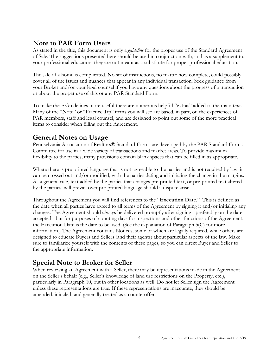# <span id="page-3-0"></span>**Note to PAR Form Users**

As stated in the title, this document is only a *guideline* for the proper use of the Standard Agreement of Sale. The suggestions presented here should be used in conjunction with, and as a supplement to, your professional education; they are not meant as a substitute for proper professional education.

The sale of a home is complicated. No set of instructions, no matter how complete, could possibly cover all of the issues and nuances that appear in any individual transaction. Seek guidance from your Broker and/or your legal counsel if you have any questions about the progress of a transaction or about the proper use of this or any PAR Standard Form.

To make these Guidelines more useful there are numerous helpful "extras" added to the main text. Many of the "Note" or "Practice Tip" items you will see are based, in part, on the experiences of PAR members, staff and legal counsel, and are designed to point out some of the more practical items to consider when filling out the Agreement.

# <span id="page-3-1"></span>**General Notes on Usage**

Pennsylvania Association of Realtors® Standard Forms are developed by the PAR Standard Forms Committee for use in a wide variety of transactions and market areas. To provide maximum flexibility to the parties, many provisions contain blank spaces that can be filled in as appropriate.

Where there is pre-printed language that is not agreeable to the parties and is not required by law, it can be crossed out and/or modified, with the parties dating and initialing the change in the margins. As a general rule, text added by the parties that changes pre-printed text, or pre-printed text altered by the parties, will prevail over pre-printed language should a dispute arise.

Throughout the Agreement you will find references to the "**Execution Date**." This is defined as the date when all parties have agreed to all terms of the Agreement by signing it and/or initialing any changes. The Agreement should always be delivered promptly after signing - preferably on the date accepted - but for purposes of counting days for inspections and other functions of the Agreement, the Execution Date is the date to be used. (See the explanation of Paragraph 5(C) for more information.) The Agreement contains Notices, some of which are legally required, while others are designed to educate Buyers and Sellers (and their agents) about particular aspects of the law. Make sure to familiarize yourself with the contents of these pages, so you can direct Buyer and Seller to the appropriate information.

# <span id="page-3-2"></span>**Special Note to Broker for Seller**

When reviewing an Agreement with a Seller, there may be representations made in the Agreement on the Seller's behalf (e.g., Seller's knowledge of land use restrictions on the Property, etc.), particularly in Paragraph 10, but in other locations as well. Do not let Seller sign the Agreement unless these representations are true. If these representations are inaccurate, they should be amended, initialed, and generally treated as a counteroffer.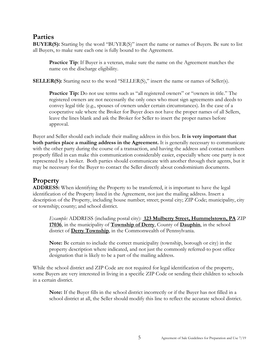# <span id="page-4-0"></span>**Parties**

**BUYER(S):** Starting by the word "BUYER(S)" insert the name or names of Buyers. Be sure to list all Buyers, to make sure each one is fully bound to the Agreement.

**Practice Tip:** If Buyer is a veteran, make sure the name on the Agreement matches the name on the discharge eligibility.

**SELLER(S):** Starting next to the word "SELLER(S)," insert the name or names of Seller(s).

**Practice Tip:** Do not use terms such as "all registered owners" or "owners in title." The registered owners are not necessarily the only ones who must sign agreements and deeds to convey legal title (e.g., spouses of owners under certain circumstances). In the case of a cooperative sale where the Broker for Buyer does not have the proper names of all Sellers, leave the lines blank and ask the Broker for Seller to insert the proper names before approval.

Buyer and Seller should each include their mailing address in this box. **It is very important that both parties place a mailing address in the Agreement.** It is generally necessary to communicate with the other party during the course of a transaction, and having the address and contact numbers properly filled in can make this communication considerably easier, especially where one party is not represented by a broker. Both parties should communicate with another through their agents, but it may be necessary for the Buyer to contact the Seller directly about condominium documents.

# <span id="page-4-1"></span>**Property**

**ADDRESS:** When identifying the Property to be transferred, it is important to have the legal identification of the Property listed in the Agreement, not just the mailing address. Insert a description of the Property, including house number; street; postal city; ZIP Code; municipality, city or township; county; and school district.

*Example:* ADDRESS (including postal city): **123 Mulberry Street, Hummelstown, PA** ZIP **17036**, in the municipality of **Township of Derry**, County of **Dauphin**, in the school district of **Derry Township**, in the Commonwealth of Pennsylvania.

**Note:** Be certain to include the correct municipality (township, borough or city) in the property description where indicated, and not just the commonly referred-to post office designation that is likely to be a part of the mailing address.

While the school district and ZIP Code are not required for legal identification of the property, some Buyers are very interested in living in a specific ZIP Code or sending their children to schools in a certain district.

**Note:** If the Buyer fills in the school district incorrectly or if the Buyer has not filled in a school district at all, the Seller should modify this line to reflect the accurate school district.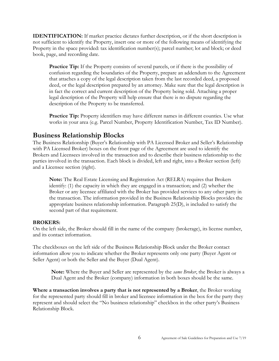**IDENTIFICATION:** If market practice dictates further description, or if the short description is not sufficient to identify the Property, insert one or more of the following means of identifying the Property in the space provided: tax identification number(s); parcel number; lot and block; or deed book, page, and recording date.

**Practice Tip:** If the Property consists of several parcels, or if there is the possibility of confusion regarding the boundaries of the Property, prepare an addendum to the Agreement that attaches a copy of the legal description taken from the last recorded deed, a proposed deed, or the legal description prepared by an attorney. Make sure that the legal description is in fact the correct and current description of the Property being sold. Attaching a proper legal description of the Property will help ensure that there is no dispute regarding the description of the Property to be transferred.

Practice Tip: Property identifiers may have different names in different counties. Use what works in your area (e.g. Parcel Number, Property Identification Number, Tax ID Number).

# <span id="page-5-0"></span>**Business Relationship Blocks**

The Business Relationship (Buyer's Relationship with PA Licensed Broker and Seller's Relationship with PA Licensed Broker) boxes on the front page of the Agreement are used to identify the Brokers and Licensees involved in the transaction and to describe their business relationship to the parties involved in the transaction. Each block is divided, left and right, into a Broker section (left) and a Licensee section (right).

**Note:** The Real Estate Licensing and Registration Act (RELRA) requires that Brokers identify: (1) the capacity in which they are engaged in a transaction; and (2) whether the Broker or any licensee affiliated with the Broker has provided services to any other party in the transaction. The information provided in the Business Relationship Blocks provides the appropriate business relationship information. Paragraph 25(D), is included to satisfy the second part of that requirement.

#### **BROKERS:**

On the left side, the Broker should fill in the name of the company (brokerage), its license number, and its contact information.

The checkboxes on the left side of the Business Relationship Block under the Broker contact information allow you to indicate whether the Broker represents only one party (Buyer Agent or Seller Agent) or both the Seller and the Buyer (Dual Agent).

**Note:** Where the Buyer and Seller are represented by the *same Broker*, the Broker is always a Dual Agent and the Broker (company) information in both boxes should be the same.

**Where a transaction involves a party that is not represented by a Broker**, the Broker working for the represented party should fill in broker and licensee information in the box for the party they represent and should select the "No business relationship" checkbox in the other party's Business Relationship Block.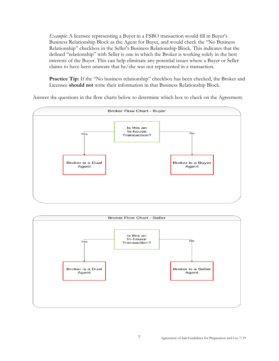*Example*: A licensee representing a Buyer in a FSBO transaction would fill in Buyer's Business Relationship Block as the Agent for Buyer, and would check the "No Business Relationship" checkbox in the Seller's Business Relationship Block. This indicates that the defined "relationship" with Seller is one in which the Broker is working solely in the best interests of the Buyer. This can help eliminate any potential issues where a Buyer or Seller claims to have been unaware that he/she was not represented in a transaction.

Practice Tip: If the "No business relationship" checkbox has been checked, the Broker and Licensee **should not** write their information in that Business Relationship Block.

Answer the questions in the flow charts below to determine which box to check on the Agreement.



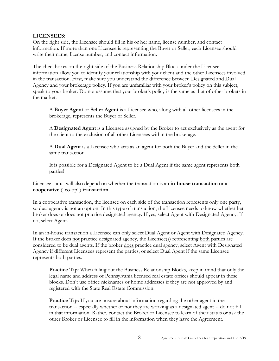#### **LICENSEES:**

On the right side, the Licensee should fill in his or her name, license number, and contact information. If more than one Licensee is representing the Buyer or Seller, each Licensee should write their name, license number, and contact information.

The checkboxes on the right side of the Business Relationship Block under the Licensee information allow you to identify your relationship with your client and the other Licensees involved in the transaction. First, make sure you understand the difference between Designated and Dual Agency and your brokerage policy. If you are unfamiliar with your broker's policy on this subject, speak to your broker. Do not assume that your broker's policy is the same as that of other brokers in the market.

A **Buyer Agent** or **Seller Agent** is a Licensee who, along with all other licensees in the brokerage, represents the Buyer or Seller.

A **Designated Agent** is a Licensee assigned by the Broker to act exclusively as the agent for the client to the exclusion of all other Licensees within the brokerage.

A **Dual Agent** is a Licensee who acts as an agent for both the Buyer and the Seller in the same transaction.

It is possible for a Designated Agent to be a Dual Agent if the same agent represents both parties!

Licensee status will also depend on whether the transaction is an **in-house transaction** or a **cooperative** ("co-op") **transaction**.

In a cooperative transaction, the licensee on each side of the transaction represents only one party, so dual agency is not an option. In this type of transaction, the Licensee needs to know whether her broker does or does not practice designated agency. If yes, select Agent with Designated Agency. If no, select Agent.

In an in-house transaction a Licensee can only select Dual Agent or Agent with Designated Agency. If the broker does not practice designated agency, the Licensee(s) representing both parties are considered to be dual agents. If the broker does practice dual agency, select Agent with Designated Agency if different Licensees represent the parties, or select Dual Agent if the same Licensee represents both parties.

**Practice Tip:** When filling out the Business Relationship Blocks, keep in mind that only the legal name and address of Pennsylvania licensed real estate offices should appear in these blocks. Don't use office nicknames or home addresses if they are not approved by and registered with the State Real Estate Commission.

**Practice Tip:** If you are unsure about information regarding the other agent in the transaction -- especially whether or not they are working as a designated agent -- do not fill in that information. Rather, contact the Broker or Licensee to learn of their status or ask the other Broker or Licensee to fill in the information when they have the Agreement.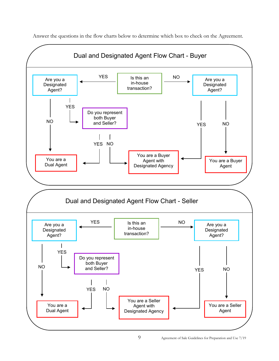

Answer the questions in the flow charts below to determine which box to check on the Agreement.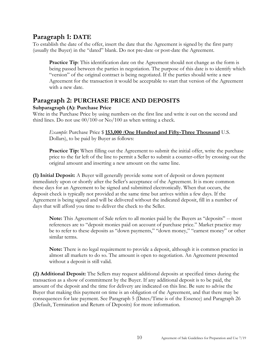# <span id="page-9-0"></span>**Paragraph 1: DATE**

To establish the date of the offer, insert the date that the Agreement is signed by the first party (usually the Buyer) in the "dated" blank. Do not pre-date or post-date the Agreement.

**Practice Tip**: This identification date on the Agreement should not change as the form is being passed between the parties in negotiation. The purpose of this date is to identify which "version" of the original contract is being negotiated. If the parties should write a new Agreement for the transaction it would be acceptable to start that version of the Agreement with a new date.

# <span id="page-9-1"></span>**Paragraph 2: PURCHASE PRICE AND DEPOSITS**

## **Subparagraph (A): Purchase Price**

Write in the Purchase Price by using numbers on the first line and write it out on the second and third lines. Do not use 00/100 or No/100 as when writing a check.

*Example*: Purchase Price \$ **153,000** (**One Hundred and Fifty-Three Thousand** U.S. Dollars), to be paid by Buyer as follows:

**Practice Tip:** When filling out the Agreement to submit the initial offer, write the purchase price to the far left of the line to permit a Seller to submit a counter-offer by crossing out the original amount and inserting a new amount on the same line.

**(1) Initial Deposit:** A Buyer will generally provide some sort of deposit or down payment immediately upon or shortly after the Seller's acceptance of the Agreement. It is more common these days for an Agreement to be signed and submitted electronically. When that occurs, the deposit check is typically not provided at the same time but arrives within a few days. If the Agreement is being signed and will be delivered without the indicated deposit, fill in a number of days that will afford you time to deliver the check to the Seller.

**Note:** This Agreement of Sale refers to all monies paid by the Buyers as "deposits" -- most references are to "deposit monies paid on account of purchase price." Market practice may be to refer to these deposits as "down payments," "down money," "earnest money" or other similar terms.

**Note:** There is no legal requirement to provide a deposit, although it is common practice in almost all markets to do so. The amount is open to negotiation. An Agreement presented without a deposit is still valid.

**(2) Additional Deposit:** The Sellers may request additional deposits at specified times during the transaction as a show of commitment by the Buyer. If any additional deposit is to be paid, the amount of the deposit and the time for delivery are indicated on this line. Be sure to advise the Buyer that making this payment on time is an obligation of the Agreement, and that there may be consequences for late payment. See Paragraph 5 (Dates/Time is of the Essence) and Paragraph 26 (Default, Termination and Return of Deposits) for more information.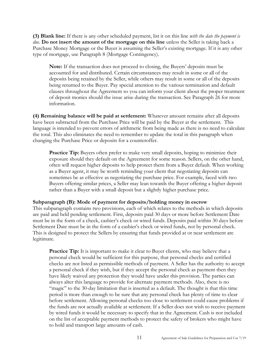**(3) Blank line:** If there is any other scheduled payment, list it on this line *with the date the payment is due.* **Do not insert the amount of the mortgage on this line** unless the Seller is taking back a Purchase Money Mortgage or the Buyer is assuming the Seller's existing mortgage. If it is any other type of mortgage, use Paragraph 8 (Mortgage Contingency).

**Note:** If the transaction does not proceed to closing, the Buyers' deposits must be accounted for and distributed. Certain circumstances may result in some or all of the deposits being retained by the Seller, while others may result in some or all of the deposits being returned to the Buyer. Pay special attention to the various termination and default clauses throughout the Agreement so you can inform your client about the proper treatment of deposit monies should the issue arise during the transaction. See Paragraph 26 for more information.

**(4) Remaining balance will be paid at settlement:** Whatever amount remains after all deposits have been subtracted from the Purchase Price will be paid by the Buyer at the settlement. This language is intended to prevent errors of arithmetic from being made as there is no need to calculate the total. This also eliminates the need to remember to update the total in this paragraph when changing the Purchase Price or deposits for a counteroffer.

**Practice Tip:** Buyers often prefer to make very small deposits, hoping to minimize their exposure should they default on the Agreement for some reason. Sellers, on the other hand, often will request higher deposits to help protect them from a Buyer default. When working as a Buyer agent, it may be worth reminding your client that negotiating deposits can sometimes be as effective as negotiating the purchase price. For example, faced with two Buyers offering similar prices, a Seller may lean towards the Buyer offering a higher deposit rather than a Buyer with a small deposit but a slightly higher purchase price.

#### **Subparagraph (B): Mode of payment for deposits/holding money in escrow**

This subparagraph contains two provisions, each of which relates to the methods in which deposits are paid and held pending settlement. First, deposits paid 30 days or more before Settlement Date must be in the form of a check, cashier's check or wired funds. Deposits paid within 30 days before Settlement Date must be in the form of a cashier's check or wired funds, not by personal check. This is designed to protect the Sellers by ensuring that funds provided at or near settlement are legitimate.

**Practice Tip:** It is important to make it clear to Buyer clients, who may believe that a personal check would be sufficient for this purpose, that personal checks and certified checks are not listed as permissible methods of payment. A Seller has the authority to accept a personal check if they wish, but if they accept the personal check as payment then they have likely waived any protection they would have under this provision. The parties can always alter this language to provide for alternate payment methods. Also, there is no "magic" to the 30-day limitation that is inserted as a default. The thought is that this time period is more than enough to be sure that any personal check has plenty of time to clear before settlement. Allowing personal checks too close to settlement could cause problems if the funds are not actually available at settlement. If a Seller does not wish to receive payment by wired funds it would be necessary to specify that in the Agreement. Cash is not included on the list of acceptable payment methods to protect the safety of brokers who might have to hold and transport large amounts of cash.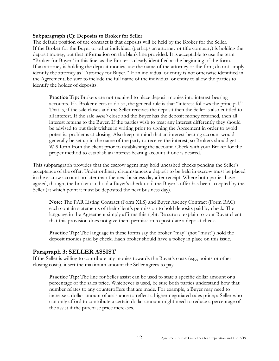#### **Subparagraph (C): Deposits to Broker for Seller**

The default position of the contract is that deposits will be held by the Broker for the Seller. If the Broker for the Buyer or other individual (perhaps an attorney or title company) is holding the deposit money, put that information on the blank line provided. It is acceptable to use the term "Broker for Buyer" in this line, as the Broker is clearly identified at the beginning of the form. If an attorney is holding the deposit monies, use the name of the attorney or the firm; do not simply identify the attorney as "Attorney for Buyer." If an individual or entity is not otherwise identified in the Agreement, be sure to include the full name of the individual or entity to allow the parties to identify the holder of deposits.

**Practice Tip:** Brokers are not required to place deposit monies into interest-bearing accounts. If a Broker elects to do so, the general rule is that "interest follows the principal." That is, if the sale closes and the Seller receives the deposit then the Seller is also entitled to all interest. If the sale *doesn't* close and the Buyer has the deposit money returned, then all interest returns to the Buyer. If the parties wish to treat any interest differently they should be advised to put their wishes in writing prior to signing the Agreement in order to avoid potential problems at closing. Also keep in mind that an interest-bearing account would generally be set up in the name of the party to receive the interest, so Brokers should get a W-9 form from the client prior to establishing the account. Check with your Broker for the proper method to establish an interest-bearing account if one is desired.

This subparagraph provides that the escrow agent may hold uncashed checks pending the Seller's acceptance of the offer. Under ordinary circumstances a deposit to be held in escrow must be placed in the escrow account no later than the next business day after receipt. Where both parties have agreed, though, the broker can hold a Buyer's check until the Buyer's offer has been accepted by the Seller (at which point it must be deposited the next business day).

**Note:** The PAR Listing Contract (Form XLS) and Buyer Agency Contract (Form BAC) each contain statements of their client's permission to hold deposits paid by check. The language in the Agreement simply affirms this right. Be sure to explain to your Buyer client that this provision does not give them permission to post-date a deposit check.

**Practice Tip:** The language in these forms say the broker "may" (not "must") hold the deposit monies paid by check. Each broker should have a policy in place on this issue.

#### <span id="page-11-0"></span>**Paragraph 3: SELLER ASSIST**

If the Seller is willing to contribute any monies towards the Buyer's costs (e.g., points or other closing costs), insert the maximum amount the Seller agrees to pay.

**Practice Tip:** The line for Seller assist can be used to state a specific dollar amount or a percentage of the sales price. Whichever is used, be sure both parties understand how that number relates to any counteroffers that are made. For example, a Buyer may need to increase a dollar amount of assistance to reflect a higher negotiated sales price; a Seller who can only afford to contribute a certain dollar amount might need to reduce a percentage of the assist if the purchase price increases.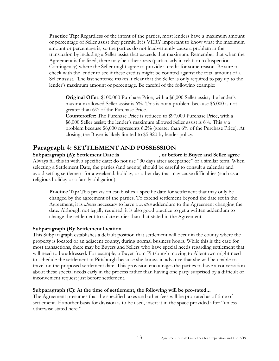**Practice Tip:** Regardless of the intent of the parties, most lenders have a maximum amount or percentage of Seller assist they permit. It is VERY important to know what the maximum amount or percentage is, so the parties do not inadvertently cause a problem in the transaction by including a Seller assist that exceeds that maximum. Remember that when the Agreement is finalized, there may be other areas (particularly in relation to Inspection Contingency) where the Seller might agree to provide a credit for some reason. Be sure to check with the lender to see if these credits might be counted against the total amount of a Seller assist. The last sentence makes it clear that the Seller is only required to pay up to the lender's maximum amount or percentage. Be careful of the following example:

**Original Offer:** \$100,000 Purchase Price, with a \$6,000 Seller assist; the lender's maximum allowed Seller assist is 6%. This is not a problem because \$6,000 is not greater than 6% of the Purchase Price.

**Counteroffer:** The Purchase Price is reduced to \$97,000 Purchase Price, with a \$6,000 Seller assist; the lender's maximum allowed Seller assist is 6%. This *is* a problem because \$6,000 represents 6.2% (greater than 6% of the Purchase Price). At closing, the Buyer is likely limited to \$5,820 by lender policy.

## <span id="page-12-0"></span>**Paragraph 4: SETTLEMENT AND POSSESSION**

**Subparagraph (A): Settlement Date is \_\_\_\_\_\_\_\_\_\_\_\_\_\_, or before if Buyer and Seller agree** Always fill this in with a specific date; do not use "30 days after acceptance" or a similar term. When selecting a Settlement Date, the parties (and agents) should be careful to consult a calendar and avoid setting settlement for a weekend, holiday, or other day that may cause difficulties (such as a religious holiday or a family obligation).

**Practice Tip:** This provision establishes a specific date for settlement that may only be changed by the agreement of the parties. To extend settlement beyond the date set in the Agreement, it is *always* necessary to have a *written* addendum to the Agreement changing the date. Although not legally required, it is also good practice to get a written addendum to change the settlement to a date earlier than that stated in the Agreement.

#### **Subparagraph (B): Settlement location**

This Subparagraph establishes a default position that settlement will occur in the county where the property is located or an adjacent county, during normal business hours. While this is the case for most transactions, there may be Buyers and Sellers who have special needs regarding settlement that will need to be addressed. For example, a Buyer from Pittsburgh moving to Allentown might need to schedule the settlement in Pittsburgh because she knows in advance that she will be unable to travel on the proposed settlement date. This provision encourages the parties to have a conversation about these special needs early in the process rather than having one party surprised by a difficult or inconvenient request just before settlement.

#### **Subparagraph (C): At the time of settlement, the following will be pro-rated...**

The Agreement presumes that the specified taxes and other fees will be pro-rated as of time of settlement. If another basis for division is to be used, insert it in the space provided after "unless otherwise stated here."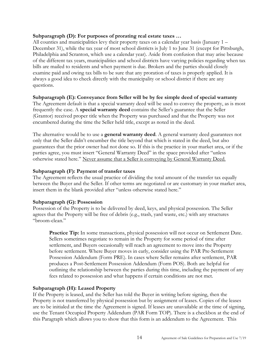#### **Subparagraph (D): For purposes of prorating real estate taxes …**

All counties and municipalities levy their property taxes on a calendar year basis (January 1 – December 31), while the tax year of most school districts is July 1 to June 31 (except for Pittsburgh, Philadelphia and Scranton, which use a calendar year). Aside from confusion that may arise because of the different tax years, municipalities and school districts have varying policies regarding when tax bills are mailed to residents and when payment is due. Brokers and the parties should closely examine paid and owing tax bills to be sure that any proration of taxes is properly applied. It is always a good idea to check directly with the municipality or school district if there are any questions.

#### **Subparagraph (E): Conveyance from Seller will be by fee simple deed of special warranty**

The Agreement default is that a special warranty deed will be used to convey the property, as is most frequently the case. A **special warranty deed** contains the Seller's guarantee that the Seller (Grantor) received proper title when the Property was purchased and that the Property was not encumbered during the time the Seller held title, except as noted in the deed.

The alternative would be to use a **general warranty deed**. A general warranty deed guarantees not only that the Seller didn't encumber the title beyond that which is stated in the deed, but also guarantees that the prior owner had not done so. If this is the practice in your market area, or if the parties agree, you must insert "General Warranty Deed" in the space provided after "unless otherwise stated here." Never assume that a Seller is conveying by General Warranty Deed.

#### **Subparagraph (F): Payment of transfer taxes**

The Agreement reflects the usual practice of dividing the total amount of the transfer tax equally between the Buyer and the Seller. If other terms are negotiated or are customary in your market area, insert them in the blank provided after "unless otherwise stated here."

#### **Subparagraph (G): Possession**

Possession of the Property is to be delivered by deed, keys, and physical possession. The Seller agrees that the Property will be free of debris (e.g., trash, yard waste, etc.) with any structures "broom-clean."

Practice Tip: In some transactions, physical possession will not occur on Settlement Date. Sellers sometimes negotiate to remain in the Property for some period of time after settlement, and Buyers occasionally will reach an agreement to move into the Property before settlement. Where Buyer moves in early, consider using the PAR Pre-Settlement Possession Addendum (Form PRE). In cases where Seller remains after settlement, PAR produces a Post-Settlement Possession Addendum (Form POS). Both are helpful for outlining the relationship between the parties during this time, including the payment of any fees related to possession and what happens if certain conditions are not met.

#### **Subparagraph (H): Leased Property**

If the Property is leased, and the Seller has told the Buyer in writing before signing, then the Property is not transferred by physical possession but by assignment of leases. Copies of the leases are to be initialed at the time the Agreement is signed. If leases are unavailable at the time of signing, use the Tenant Occupied Property Addendum (PAR Form TOP). There is a checkbox at the end of this Paragraph which allows you to show that this form is an addendum to the Agreement. This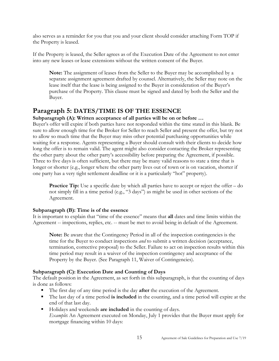also serves as a reminder for you that you and your client should consider attaching Form TOP if the Property is leased.

If the Property is leased, the Seller agrees as of the Execution Date of the Agreement to not enter into any new leases or lease extensions without the written consent of the Buyer.

**Note:** The assignment of leases from the Seller to the Buyer may be accomplished by a separate assignment agreement drafted by counsel. Alternatively, the Seller may note on the lease itself that the lease is being assigned to the Buyer in consideration of the Buyer's purchase of the Property. This clause must be signed and dated by both the Seller and the Buyer.

# <span id="page-14-0"></span>**Paragraph 5: DATES/TIME IS OF THE ESSENCE**

## **Subparagraph (A): Written acceptance of all parties will be on or before …**

Buyer's offer will expire if both parties have not responded within the time stated in this blank. Be sure to allow enough time for the Broker for Seller to reach Seller and present the offer, but try not to allow so much time that the Buyer may miss other potential purchasing opportunities while waiting for a response. Agents representing a Buyer should consult with their clients to decide how long the offer is to remain valid. The agent might also consider contacting the Broker representing the other party about the other party's accessibility before preparing the Agreement, if possible. Three to five days is often sufficient, but there may be many valid reasons to state a time that is longer or shorter (e.g., longer where the other party lives out of town or is on vacation, shorter if one party has a very tight settlement deadline or it is a particularly "hot" property).

**Practice Tip:** Use a specific date by which all parties have to accept or reject the offer – do not simply fill in a time period (e.g., "3 days") as might be used in other sections of the Agreement.

## **Subparagraph (B): Time is of the essence**

It is important to explain that "time of the essence" means that **all** dates and time limits within the Agreement -- inspections, replies, etc. -- must be met to avoid being in default of the Agreement.

**Note:** Be aware that the Contingency Period in all of the inspection contingencies is the time for the Buyer to conduct inspections *and* to submit a written decision (acceptance, termination, corrective proposal) to the Seller. Failure to act on inspection results within this time period may result in a waiver of the inspection contingency and acceptance of the Property by the Buyer. (See Paragraph 11, Waiver of Contingencies).

## **Subparagraph (C): Execution Date and Counting of Days**

The default position in the Agreement, as set forth in this subparagraph, is that the counting of days is done as follows:

- The first day of any time period is the day **after** the execution of the Agreement.
- The last day of a time period **is included** in the counting, and a time period will expire at the end of that last day.
- Holidays and weekends **are included** in the counting of days. *Example***:** An Agreement executed on Monday, July 1 provides that the Buyer must apply for mortgage financing within 10 days: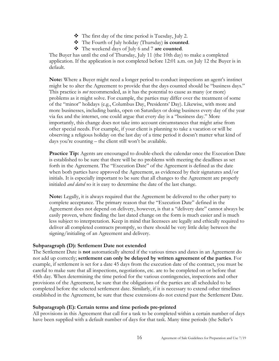- $\bullet$  The first day of the time period is Tuesday, July 2.
- The Fourth of July holiday (Thursday) **is counted**.
- The weekend days of July 6 and 7 **are counted**.

The Buyer has until the end of Thursday, July 11 (the 10th day) to make a completed application. If the application is not completed before 12:01 a.m. on July 12 the Buyer is in default.

**Note:** Where a Buyer might need a longer period to conduct inspections an agent's instinct might be to alter the Agreement to provide that the days counted should be "business days." This practice is *not* recommended, as it has the potential to cause as many (or more) problems as it might solve. For example, the parties may differ over the treatment of some of the "minor" holidays (e.g., Columbus Day, Presidents' Day). Likewise, with more and more businesses, including banks, open on Saturdays or doing business every day of the year via fax and the internet, one could argue that every day is a "business day." More importantly, this change does not take into account circumstances that might arise from other special needs. For example, if your client is planning to take a vacation or will be observing a religious holiday on the last day of a time period it doesn't matter what kind of days you're counting – the client still won't be available.

**Practice Tip:** Agents are encouraged to double-check the calendar once the Execution Date is established to be sure that there will be no problems with meeting the deadlines as set forth in the Agreement. The "Execution Date" of the Agreement is defined as the date when both parties have approved the Agreement, as evidenced by their signatures and/or initials. It is especially important to be sure that all changes to the Agreement are properly initialed *and dated* so it is easy to determine the date of the last change.

**Note:** Legally, it is always required that the Agreement be delivered to the other party to complete acceptance. The primary reason that the "Execution Date" defined in the Agreement does not depend on delivery, however, is that a "delivery date" cannot always be easily proven, where finding the last dated change on the form is much easier and is much less subject to interpretation. Keep in mind that licensees are legally and ethically required to deliver all completed contracts promptly, so there should be very little delay between the signing/initialing of an Agreement and delivery.

#### **Subparagraph (D): Settlement Date not extended**

The Settlement Date is **not** automatically altered if the various times and dates in an Agreement do not add up correctly; **settlement can only be delayed by written agreement of the parties**. For example, if settlement is set for a date 45 days from the execution date of the contract, you must be careful to make sure that all inspections, negotiations, etc. are to be completed on or before that 45th day. When determining the time period for the various contingencies, inspections and other provisions of the Agreement, be sure that the obligations of the parties are all scheduled to be completed before the selected settlement date. Similarly, if it is necessary to extend other timelines established in the Agreement, be sure that these extensions do not extend past the Settlement Date.

#### **Subparagraph (E): Certain terms and time periods pre-printed**

All provisions in this Agreement that call for a task to be completed within a certain number of days have been supplied with a default number of days for that task. Many time periods (the Seller's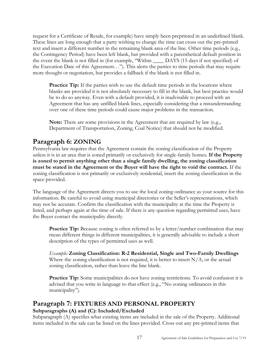request for a Certificate of Resale, for example) have simply been preprinted in an underlined blank. These lines are long enough that a party wishing to change the time can cross out the pre-printed text and insert a different number in the remaining blank area of the line. Other time periods (e.g., the Contingency Period) have been left blank, but provided with a parenthetical default position in the event the blank is not filled in (for example, "Within \_\_\_\_ DAYS (15 days if not specified) of the Execution Date of this Agreement…"). This alerts the parties to time periods that may require more thought or negotiation, but provides a fallback if the blank is not filled in.

**Practice Tip:** If the parties wish to use the default time periods in the locations where blanks are provided it is not absolutely necessary to fill in the blank, but best practice would be to do so anyway. Even with a default provided, it is inadvisable to proceed with an Agreement that has any unfilled blank lines, especially considering that a misunderstanding over one of these time periods could cause major problems in the transaction.

**Note:** There are some provisions in the Agreement that are required by law (e.g., Department of Transportation, Zoning, Coal Notice) that should not be modified.

# <span id="page-16-0"></span>**Paragraph 6: ZONING**

Pennsylvania law requires that the Agreement contain the zoning classification of the Property unless it is in an area that is zoned primarily or exclusively for single-family homes. **If the Property is zoned to permit anything other than a single family dwelling, the zoning classification must be stated in the Agreement or the Buyer will have the right to void the contract.** If the zoning classification is not primarily or exclusively residential, insert the zoning classification in the space provided.

The language of the Agreement directs you to use the local zoning ordinance as your source for this information. Be careful to avoid using municipal directories or the Seller's representations, which may not be accurate. Confirm the classification with the municipality at the time the Property is listed, and perhaps again at the time of sale. If there is any question regarding permitted uses, have the Buyer contact the municipality directly.

**Practice Tip:** Because zoning is often referred to by a letter/number combination that may mean different things in different municipalities, it is generally advisable to include a short description of the types of permitted uses as well.

*Example:* **Zoning Classification: R-2 Residential, Single and Two-Family Dwellings** Where the zoning classification is not required, it is better to insert  $N/A$ , or the actual zoning classification, rather than leave the line blank.

Practice Tip: Some municipalities do not have zoning restrictions. To avoid confusion it is advised that you write in language to that effect (e.g., "No zoning ordinances in this municipality").

# <span id="page-16-1"></span>**Paragraph 7: FIXTURES AND PERSONAL PROPERTY Subparagraphs (A) and (C): Included/Excluded**

Subparagraph (A) specifies what existing items are included in the sale of the Property. Additional items included in the sale can be listed on the lines provided. Cross out any pre-printed items that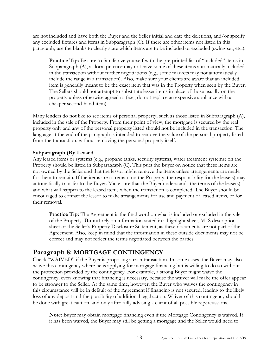are not included and have both the Buyer and the Seller initial and date the deletions, and/or specify any excluded fixtures and items in Subparagraph (C). If there are other items not listed in this paragraph, use the blanks to clearly state which items are to be included or excluded (swing-set, etc.).

**Practice Tip:** Be sure to familiarize yourself with the pre-printed list of "included" items in Subparagraph (A), as local practice may not have some of these items automatically included in the transaction without further negotiations (e.g., some markets may not automatically include the range in a transaction). Also, make sure your clients are aware that an included item is generally meant to be the exact item that was in the Property when seen by the Buyer. The Sellers should not attempt to substitute lesser items in place of those usually on the property unless otherwise agreed to (e.g., do not replace an expensive appliance with a cheaper second-hand item).

Many lenders do not like to see items of personal property, such as those listed in Subparagraph (A), included in the sale of the Property. From their point of view, the mortgage is secured by the real property only and any of the personal property listed should not be included in the transaction. The language at the end of the paragraph is intended to remove the value of the personal property listed from the transaction, without removing the personal property itself.

#### **Subparagraph (B): Leased**

Any leased items or systems (e.g., propane tanks, security systems, water treatment systems) on the Property should be listed in Subparagraph (C). This puts the Buyer on notice that these items are not owned by the Seller and that the lessor might remove the items unless arrangements are made for them to remain. If the items are to remain on the Property, the responsibility for the lease(s) may automatically transfer to the Buyer. Make sure that the Buyer understands the terms of the lease(s) and what will happen to the leased items when the transaction is completed. The Buyer should be encouraged to contact the lessor to make arrangements for use and payment of leased items, or for their removal.

**Practice Tip:** The Agreement is the final word on what is included or excluded in the sale of the Property. **Do not** rely on information stated in a highlight sheet, MLS description sheet or the Seller's Property Disclosure Statement, as these documents are not part of the Agreement. Also, keep in mind that the information in these outside documents may not be correct and may not reflect the terms negotiated between the parties.

## <span id="page-17-0"></span>**Paragraph 8: MORTGAGE CONTINGENCY**

Check "WAIVED" if the Buyer is proposing a cash transaction. In some cases, the Buyer may also waive this contingency where he is applying for mortgage financing but is willing to do so without the protection provided by the contingency. For example, a strong Buyer might waive the contingency, even knowing that financing is necessary, because the waiver will make the offer appear to be stronger to the Seller. At the same time, however, the Buyer who waives the contingency in this circumstance will be in default of the Agreement if financing is not secured, leading to the likely loss of any deposit and the possibility of additional legal action. Waiver of this contingency should be done with great caution, and only after fully advising a client of all possible repercussions.

**Note**: Buyer may obtain mortgage financing even if the Mortgage Contingency is waived. If it has been waived, the Buyer may still be getting a mortgage and the Seller would need to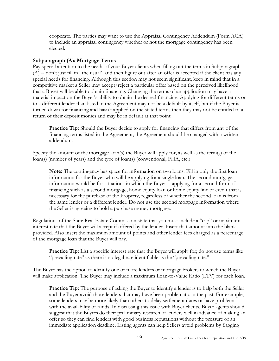cooperate. The parties may want to use the Appraisal Contingency Addendum (Form ACA) to include an appraisal contingency whether or not the mortgage contingency has been elected.

#### **Subparagraph (A): Mortgage Terms**

Pay special attention to the needs of your Buyer clients when filling out the terms in Subparagraph (A) -- don't just fill in "the usual" and then figure out after an offer is accepted if the client has any special needs for financing. Although this section may not seem significant, keep in mind that in a competitive market a Seller may accept/reject a particular offer based on the perceived likelihood that a Buyer will be able to obtain financing. Changing the terms of an application may have a material impact on the Buyer's ability to obtain the desired financing. Applying for different terms or to a different lender than listed in the Agreement may not be a default by itself, but if the Buyer is turned down for financing and hasn't applied on the stated terms then they may not be entitled to a return of their deposit monies and may be in default at that point.

**Practice Tip:** Should the Buyer decide to apply for financing that differs from any of the financing terms listed in the Agreement, the Agreement should be changed with a written addendum.

Specify the amount of the mortgage loan(s) the Buyer will apply for, as well as the term(s) of the loan(s) (number of years) and the type of loan(s) (conventional, FHA, etc.).

**Note:** The contingency has space for information on two loans. Fill in only the first loan information for the Buyer who will be applying for a single loan. The second mortgage information would be for situations in which the Buyer is applying for a second form of financing such as a second mortgage, home equity loan or home equity line of credit that is necessary for the purchase of the Property, regardless of whether the second loan is from the same lender or a different lender. Do not use the second mortgage information where the Seller is agreeing to hold a purchase money mortgage.

Regulations of the State Real Estate Commission state that you must include a "cap" or maximum interest rate that the Buyer will accept if offered by the lender. Insert that amount into the blank provided. Also insert the maximum amount of points and other lender fees charged as a percentage of the mortgage loan that the Buyer will pay.

**Practice Tip:** List a specific interest rate that the Buyer will apply for; do not use terms like "prevailing rate" as there is no legal rate identifiable as the "prevailing rate."

The Buyer has the option to identify one or more lenders or mortgage brokers to which the Buyer will make application. The Buyer may include a maximum Loan-to-Value Ratio (LTV) for each loan.

**Practice Tip:** The purpose of asking the Buyer to identify a lender is to help both the Seller and the Buyer avoid those lenders that may have been problematic in the past. For example, some lenders may be more likely than others to delay settlement dates or have problems with the availability of funds. In discussing this issue with Buyer clients, Buyer agents should suggest that the Buyers do their preliminary research of lenders well in advance of making an offer so they can find lenders with good business reputations without the pressure of an immediate application deadline. Listing agents can help Sellers avoid problems by flagging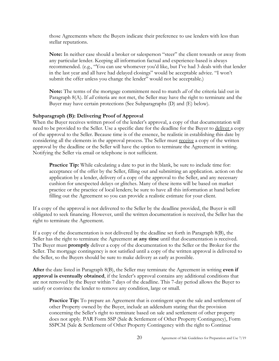those Agreements where the Buyers indicate their preference to use lenders with less than stellar reputations.

**Note:** In neither case should a broker or salesperson "steer" the client towards or away from any particular lender. Keeping all information factual and experience-based is always recommended. (e.g., "You can use whomever you'd like, but I've had 3 deals with that lender in the last year and all have had delayed closings" would be acceptable advice. "I won't submit the offer unless you change the lender" would not be acceptable.)

**Note:** The terms of the mortgage commitment need to match *all* of the criteria laid out in Paragraph 8(A). If *all* criteria are not met, the Seller may have the right to terminate and the Buyer may have certain protections (See Subparagraphs (D) and (E) below).

#### **Subparagraph (B): Delivering Proof of Approval**

When the Buyer receives written proof of the lender's approval, a copy of that documentation will need to be provided to the Seller. Use a specific date for the deadline for the Buyer to deliver a copy of the approval to the Seller. Because time is of the essence, be realistic in establishing this date by considering all the elements in the approval process. The Seller must receive a copy of the written approval by the deadline or the Seller will have the option to terminate the Agreement in writing. Notifying the Seller via email or telephone is not sufficient.

Practice Tip: While calculating a date to put in the blank, be sure to include time for: acceptance of the offer by the Seller, filling out and submitting an application. action on the application by a lender, delivery of a copy of the approval to the Seller, and any necessary cushion for unexpected delays or glitches. Many of these items will be based on market practice or the practice of local lenders; be sure to have all this information at hand before filling out the Agreement so you can provide a realistic estimate for your client.

If a copy of the approval is not delivered to the Seller by the deadline provided, the Buyer is still obligated to seek financing. However, until the written documentation is received, the Seller has the right to terminate the Agreement.

If a copy of the documentation is not delivered by the deadline set forth in Paragraph 8(B), the Seller has the right to terminate the Agreement **at any time** until that documentation is received. The Buyer must **promptly** deliver a copy of the documentation to the Seller or the Broker for the Seller. The mortgage contingency is not satisfied until a copy of the written approval is delivered to the Seller, so the Buyers should be sure to make delivery as early as possible.

**After** the date listed in Paragraph 8(B), the Seller may terminate the Agreement in writing **even if approval is eventually obtained**, if the lender's approval contains any additional conditions that are not removed by the Buyer within 7 days of the deadline. This 7-day period allows the Buyer to satisfy or convince the lender to remove any condition, large or small.

**Practice Tip:** To prepare an Agreement that is contingent upon the sale and settlement of other Property owned by the Buyer, include an addendum stating that the provision concerning the Seller's right to terminate based on sale and settlement of other property does not apply. PAR Form SSP (Sale & Settlement of Other Property Contingency), Form SSPCM (Sale & Settlement of Other Property Contingency with the right to Continue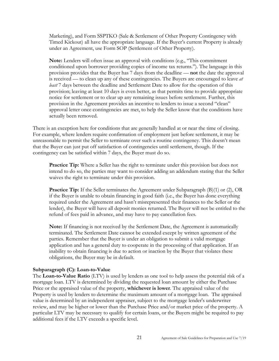Marketing), and Form SSPTKO (Sale & Settlement of Other Property Contingency with Timed Kickout) all have the appropriate language. If the Buyer's current Property is already under an Agreement, use Form SOP (Settlement of Other Property).

**Note:** Lenders will often issue an approval with conditions (e.g., "This commitment conditioned upon borrower providing copies of income tax returns."). The language in this provision provides that the Buyer has 7 days from the deadline — **not** the date the approval is received — to clean up any of these contingencies. The Buyers are encouraged to leave *at least* 7 days between the deadline and Settlement Date to allow for the operation of this provision; leaving at least 10 days is even better, as that permits time to provide appropriate notice for settlement or to clear up any remaining issues before settlement. Further, this provision in the Agreement provides an incentive to lenders to issue a second "clean" approval letter once contingencies are met, to help the Seller know that the conditions have actually been removed.

There is an exception here for conditions that are generally handled at or near the time of closing. For example, where lenders require confirmation of employment just before settlement, it may be unreasonable to permit the Seller to terminate over such a routine contingency. This doesn't mean that the Buyer can just put off satisfaction of contingencies until settlement, though. If the contingency can be satisfied within 7 days, the Buyer must do so.

**Practice Tip:** Where a Seller has the right to terminate under this provision but does not intend to do so, the parties may want to consider adding an addendum stating that the Seller waives the right to terminate under this provision.

**Practice Tip:** If the Seller terminates the Agreement under Subparagraph (B)(1) or (2), OR if the Buyer is unable to obtain financing in good faith (i.e., the Buyer has done everything required under the Agreement and hasn't misrepresented their finances to the Seller or the lender), the Buyer will have all deposit monies returned. The Buyer will not be entitled to the refund of fees paid in advance, and may have to pay cancellation fees.

**Note:** If financing is not received by the Settlement Date, the Agreement is automatically terminated. The Settlement Date cannot be extended except by written agreement of the parties. Remember that the Buyer is under an obligation to submit a valid mortgage application and has a general duty to cooperate in the processing of that application. If an inability to obtain financing is due to action or inaction by the Buyer that violates these obligations, the Buyer may be in default.

#### **Subparagraph (C): Loan-to-Value**

The **Loan-to-Value Ratio** (LTV) is used by lenders as one tool to help assess the potential risk of a mortgage loan. LTV is determined by dividing the requested loan amount by either the Purchase Price or the appraised value of the property, **whichever is lower**. The appraised value of the Property is used by lenders to determine the maximum amount of a mortgage loan. The appraised value is determined by an independent appraiser, subject to the mortgage lender's underwriter review, and may be higher or lower than the Purchase Price and/or market price of the property. A particular LTV may be necessary to qualify for certain loans, or the Buyers might be required to pay additional fees if the LTV exceeds a specific level.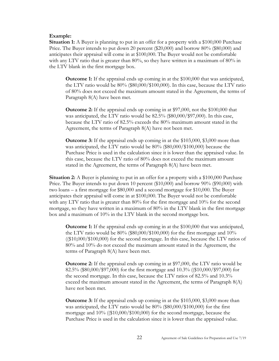#### **Example:**

**Situation 1:** A Buyer is planning to put in an offer for a property with a \$100,000 Purchase Price. The Buyer intends to put down 20 percent (\$20,000) and borrow 80% (\$80,000) and anticipates their appraisal will come in at \$100,000. The Buyer would not be comfortable with any LTV ratio that is greater than  $80\%$ , so they have written in a maximum of  $80\%$  in the LTV blank in the first mortgage box.

**Outcome 1:** If the appraisal ends up coming in at the \$100,000 that was anticipated, the LTV ratio would be 80% (\$80,000/\$100,000). In this case, because the LTV ratio of 80% does not exceed the maximum amount stated in the Agreement, the terms of Paragraph 8(A) have been met.

**Outcome 2:** If the appraisal ends up coming in at \$97,000, not the \$100,000 that was anticipated, the LTV ratio would be 82.5% (\$80,000/\$97,000). In this case, because the LTV ratio of 82.5% exceeds the 80% maximum amount stated in the Agreement, the terms of Paragraph 8(A) have not been met.

**Outcome 3:** If the appraisal ends up coming in at the \$103,000, \$3,000 more than was anticipated, the LTV ratio would be 80% (\$80,000/\$100,000) because the Purchase Price is used in the calculation since it is lower than the appraised value. In this case, because the LTV ratio of 80% does not exceed the maximum amount stated in the Agreement, the terms of Paragraph 8(A) have been met.

**Situation 2:** A Buyer is planning to put in an offer for a property with a \$100,000 Purchase Price. The Buyer intends to put down 10 percent (\$10,000) and borrow 90% (\$90,000) with two loans – a first mortgage for \$80,000 and a second mortgage for \$10,000. The Buyer anticipates their appraisal will come in at \$100,000. The Buyer would not be comfortable with any LTV ratio that is greater than 80% for the first mortgage and 10% for the second mortgage, so they have written in a maximum of 80% in the LTV blank in the first mortgage box and a maximum of 10% in the LTV blank in the second mortgage box.

**Outcome 1:** If the appraisal ends up coming in at the \$100,000 that was anticipated, the LTV ratio would be 80% (\$80,000/\$100,000) for the first mortgage and 10%  $((\$10,000/\$100,000)$  for the second mortgage. In this case, because the LTV ratios of 80% and 10% do not exceed the maximum amount stated in the Agreement, the terms of Paragraph 8(A) have been met.

**Outcome 2:** If the appraisal ends up coming in at \$97,000, the LTV ratio would be 82.5% (\$80,000/\$97,000) for the first mortgage and 10.3% ((\$10,000/\$97,000) for the second mortgage. In this case, because the LTV ratios of 82.5% and 10.3% exceed the maximum amount stated in the Agreement, the terms of Paragraph 8(A) have not been met.

**Outcome 3:** If the appraisal ends up coming in at the \$103,000, \$3,000 more than was anticipated, the LTV ratio would be 80% (\$80,000/\$100,000) for the first mortgage and 10% ((\$10,000/\$100,000) for the second mortgage, because the Purchase Price is used in the calculation since it is lower than the appraised value.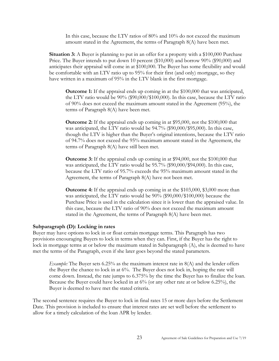In this case, because the LTV ratios of 80% and 10% do not exceed the maximum amount stated in the Agreement, the terms of Paragraph 8(A) have been met.

**Situation 3:** A Buyer is planning to put in an offer for a property with a \$100,000 Purchase Price. The Buyer intends to put down 10 percent (\$10,000) and borrow 90% (\$90,000) and anticipates their appraisal will come in at \$100,000. The Buyer has some flexibility and would be comfortable with an LTV ratio up to 95% for their first (and only) mortgage, so they have written in a maximum of 95% in the LTV blank in the first mortgage.

**Outcome 1:** If the appraisal ends up coming in at the \$100,000 that was anticipated, the LTV ratio would be 90% (\$90,000/\$100,000). In this case, because the LTV ratio of 90% does not exceed the maximum amount stated in the Agreement (95%), the terms of Paragraph 8(A) have been met.

**Outcome 2:** If the appraisal ends up coming in at \$95,000, not the \$100,000 that was anticipated, the LTV ratio would be 94.7% (\$90,000/\$95,000). In this case, though the LTV is higher than the Buyer's original intentions, because the LTV ratio of 94.7% does not exceed the 95% maximum amount stated in the Agreement, the terms of Paragraph 8(A) have still been met.

**Outcome 3:** If the appraisal ends up coming in at \$94,000, not the \$100,000 that was anticipated, the LTV ratio would be 95.7% (\$90,000/\$94,000). In this case, because the LTV ratio of 95.7% exceeds the 95% maximum amount stated in the Agreement, the terms of Paragraph 8(A) have not been met.

**Outcome 4:** If the appraisal ends up coming in at the \$103,000, \$3,000 more than was anticipated, the LTV ratio would be 90% (\$90,000/\$100,000) because the Purchase Price is used in the calculation since it is lower than the appraised value. In this case, because the LTV ratio of 90% does not exceed the maximum amount stated in the Agreement, the terms of Paragraph 8(A) have been met.

#### **Subparagraph (D): Locking in rates**

Buyer may have options to lock in or float certain mortgage terms. This Paragraph has two provisions encouraging Buyers to lock in terms when they can. First, if the Buyer has the right to lock in mortgage terms at or below the maximum stated in Subparagraph (A), she is deemed to have met the terms of the Paragraph, even if she later goes beyond the stated parameters.

*Example:* The Buyer sets 6.25% as the maximum interest rate in 8(A) and the lender offers the Buyer the chance to lock in at 6%. The Buyer does not lock in, hoping the rate will come down. Instead, the rate jumps to 6.375% by the time the Buyer has to finalize the loan. Because the Buyer could have locked in at 6% (or any other rate at or below 6.25%), the Buyer is deemed to have met the stated criteria.

The second sentence requires the Buyer to lock in final rates 15 or more days before the Settlement Date. This provision is included to ensure that interest rates are set well before the settlement to allow for a timely calculation of the loan APR by lender.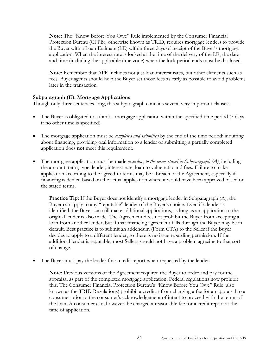**Note:** The "Know Before You Owe" Rule implemented by the Consumer Financial Protection Bureau (CFPB), otherwise known as TRID, requires mortgage lenders to provide the Buyer with a Loan Estimate (LE) within three days of receipt of the Buyer's mortgage application. When the interest rate is locked at the time of the delivery of the LE, the date and time (including the applicable time zone) when the lock period ends must be disclosed.

**Note:** Remember that APR includes not just loan interest rates, but other elements such as fees. Buyer agents should help the Buyer set those fees as early as possible to avoid problems later in the transaction.

#### **Subparagraph (E): Mortgage Applications**

Though only three sentences long, this subparagraph contains several very important clauses:

- The Buyer is obligated to submit a mortgage application within the specified time period (7 days, if no other time is specified).
- The mortgage application must be *completed and submitted* by the end of the time period; inquiring about financing, providing oral information to a lender or submitting a partially completed application does **not** meet this requirement.
- The mortgage application must be made *according to the terms stated in Subparagraph (A)*, including the amount, term, type, lender, interest rate, loan to value ratio and fees. Failure to make application according to the agreed-to terms may be a breach of the Agreement, especially if financing is denied based on the actual application where it would have been approved based on the stated terms.

**Practice Tip:** If the Buyer does not identify a mortgage lender in Subparagraph (A), the Buyer can apply to any "reputable" lender of the Buyer's choice. Even if a lender is identified, the Buyer can still make additional applications, as long as an application to the original lender is also made. The Agreement does not prohibit the Buyer from accepting a loan from another lender, but if that financing agreement falls through the Buyer may be in default. Best practice is to submit an addendum (Form CTA) to the Seller if the Buyer decides to apply to a different lender, so there is no issue regarding permission. If the additional lender is reputable, most Sellers should not have a problem agreeing to that sort of change.

The Buyer must pay the lender for a credit report when requested by the lender.

**Note:** Previous versions of the Agreement required the Buyer to order and pay for the appraisal as part of the completed mortgage application; Federal regulations now prohibit this. The Consumer Financial Protection Bureau's "Know Before You Owe" Rule (also known as the TRID Regulations) prohibit a creditor from charging a fee for an appraisal to a consumer prior to the consumer's acknowledgement of intent to proceed with the terms of the loan. A consumer can, however, be charged a reasonable fee for a credit report at the time of application.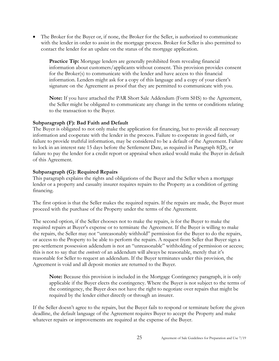• The Broker for the Buyer or, if none, the Broker for the Seller, is authorized to communicate with the lender in order to assist in the mortgage process. Broker for Seller is also permitted to contact the lender for an update on the status of the mortgage application.

**Practice Tip:** Mortgage lenders are generally prohibited from revealing financial information about customers/applicants without consent. This provision provides consent for the Broker(s) to communicate with the lender and have access to this financial information. Lenders might ask for a copy of this language and a copy of your client's signature on the Agreement as proof that they are permitted to communicate with you.

**Note:** If you have attached the PAR Short Sale Addendum (Form SHS) to the Agreement, the Seller might be obligated to communicate any change in the terms or conditions relating to the transaction to the Buyer.

#### **Subparagraph (F): Bad Faith and Default**

The Buyer is obligated to not only make the application for financing, but to provide all necessary information and cooperate with the lender in the process. Failure to cooperate in good faith, or failure to provide truthful information, may be considered to be a default of the Agreement. Failure to lock in an interest rate 15 days before the Settlement Date, as required in Paragraph 8(D), or failure to pay the lender for a credit report or appraisal when asked would make the Buyer in default of this Agreement.

#### **Subparagraph (G): Required Repairs**

This paragraph explains the rights and obligations of the Buyer and the Seller when a mortgage lender or a property and casualty insurer requires repairs to the Property as a condition of getting financing.

The first option is that the Seller makes the required repairs. If the repairs are made, the Buyer must proceed with the purchase of the Property under the terms of the Agreement.

The second option, if the Seller chooses not to make the repairs, is for the Buyer to make the required repairs at Buyer's expense or to terminate the Agreement. If the Buyer is willing to make the repairs, the Seller may not "unreasonably withhold" permission for the Buyer to do the repairs, or access to the Property to be able to perform the repairs. A request from Seller that Buyer sign a pre-settlement possession addendum is not an "unreasonable" withholding of permission or access; this is not to say that the *contents* of an addendum will always be reasonable, merely that it's reasonable for Seller to request an addendum. If the Buyer terminates under this provision, the Agreement is void and all deposit monies are returned to the Buyer.

**Note:** Because this provision is included in the Mortgage Contingency paragraph, it is only applicable if the Buyer elects the contingency. Where the Buyer is not subject to the terms of the contingency, the Buyer does not have the right to negotiate over repairs that might be required by the lender either directly or through an insurer.

If the Seller doesn't agree to the repairs, but the Buyer fails to respond or terminate before the given deadline, the default language of the Agreement requires Buyer to accept the Property and make whatever repairs or improvements are required at the expense of the Buyer.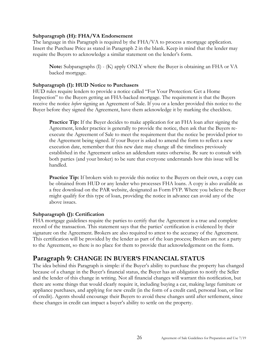#### **Subparagraph (H): FHA/VA Endorsement**

The language in this Paragraph is required by the FHA/VA to process a mortgage application. Insert the Purchase Price as stated in Paragraph 2 in the blank. Keep in mind that the lender may require the Buyers to acknowledge a similar statement on the lender's form.

**Note:** Subparagraphs (I) - (K) apply ONLY where the Buyer is obtaining an FHA or VA backed mortgage.

#### **Subparagraph (I): HUD Notice to Purchasers**

HUD rules require lenders to provide a notice called "For Your Protection: Get a Home Inspection" to the Buyers getting an FHA-backed mortgage. The requirement is that the Buyers receive the notice *before* signing an Agreement of Sale. If you or a lender provided this notice to the Buyer before they signed the Agreement, have them acknowledge it by marking the checkbox.

**Practice Tip:** If the Buyer decides to make application for an FHA loan after signing the Agreement, lender practice is generally to provide the notice, then ask that the Buyers reexecute the Agreement of Sale to meet the requirement that the notice be provided prior to the Agreement being signed. If your Buyer is asked to amend the form to reflect a new execution date, remember that this new date may change all the timelines previously established in the Agreement unless an addendum states otherwise. Be sure to consult with both parties (and your broker) to be sure that everyone understands how this issue will be handled.

**Practice Tip:** If brokers wish to provide this notice to the Buyers on their own, a copy can be obtained from HUD or any lender who processes FHA loans. A copy is also available as a free download on the PAR website, designated as Form FYP. Where you believe the Buyer might qualify for this type of loan, providing the notice in advance can avoid any of the above issues.

#### **Subparagraph (J): Certification**

FHA mortgage guidelines require the parties to certify that the Agreement is a true and complete record of the transaction. This statement says that the parties' certification is evidenced by their signature on the Agreement. Brokers are also required to attest to the accuracy of the Agreement. This certification will be provided by the lender as part of the loan process; Brokers are not a party to the Agreement, so there is no place for them to provide that acknowledgement on the form.

## <span id="page-25-0"></span>**Paragraph 9: CHANGE IN BUYER'S FINANCIAL STATUS**

The idea behind this Paragraph is simple: if the Buyer's ability to purchase the property has changed because of a change in the Buyer's financial status, the Buyer has an obligation to notify the Seller and the lender of this change in writing. Not all financial changes will warrant this notification, but there are some things that would clearly require it, including buying a car, making large furniture or appliance purchases, and applying for new credit (in the form of a credit card, personal loan, or line of credit). Agents should encourage their Buyers to avoid these changes until after settlement, since these changes in credit can impact a buyer's ability to settle on the property.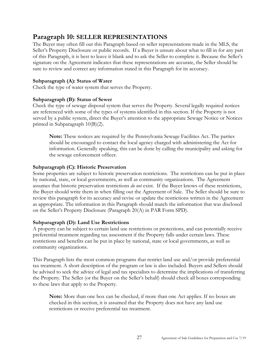# <span id="page-26-0"></span>**Paragraph 10: SELLER REPRESENTATIONS**

The Buyer may often fill out this Paragraph based on seller representations made in the MLS, the Seller's Property Disclosure or public records. If a Buyer is unsure about what to fill in for any part of this Paragraph, it is best to leave it blank and to ask the Seller to complete it. Because the Seller's signature on the Agreement indicates that these representations are accurate, the Seller should be sure to review and correct any information stated in this Paragraph for its accuracy.

## **Subparagraph (A): Status of Water**

Check the type of water system that serves the Property.

#### **Subparagraph (B): Status of Sewer**

Check the type of sewage disposal system that serves the Property. Several legally required notices are referenced with some of the types of systems identified in this section. If the Property is not served by a public system, direct the Buyer's attention to the appropriate Sewage Notice or Notices printed in Subparagraph 10(B)(2).

**Note:** These notices are required by the Pennsylvania Sewage Facilities Act. The parties should be encouraged to contact the local agency charged with administering the Act for information. Generally speaking, this can be done by calling the municipality and asking for the sewage enforcement officer.

## **Subparagraph (C): Historic Preservation**

Some properties are subject to historic preservation restrictions. The restrictions can be put in place by national, state, or local governments, as well as community organizations. The Agreement assumes that historic preservation restrictions *do not* exist. If the Buyer knows of these restrictions, the Buyer should write them in when filling out the Agreement of Sale. The Seller should be sure to review this paragraph for its accuracy and revise or update the restrictions written in the Agreement as appropriate. The information in this Paragraph should match the information that was disclosed on the Seller's Property Disclosure (Paragraph 20(A) in PAR Form SPD).

#### **Subparagraph (D): Land Use Restrictions**

A property can be subject to certain land use restrictions or protections, and can potentially receive preferential treatment regarding tax assessment if the Property falls under certain laws. These restrictions and benefits can be put in place by national, state or local governments, as well as community organizations.

This Paragraph lists the most common programs that restrict land use and/or provide preferential tax treatment. A short description of the program or law is also included. Buyers and Sellers should be advised to seek the advice of legal and tax specialists to determine the implications of transferring the Property. The Seller (or the Buyer on the Seller's behalf) should check all boxes corresponding to these laws that apply to the Property.

**Note:** More than one box can be checked, if more than one Act applies. If no boxes are checked in this section, it is assumed that the Property does not have any land use restrictions or receive preferential tax treatment.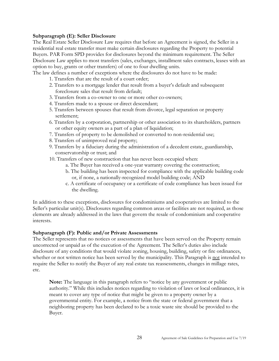#### **Subparagraph (E): Seller Disclosure**

The Real Estate Seller Disclosure Law requires that before an Agreement is signed, the Seller in a residential real estate transfer must make certain disclosures regarding the Property to potential Buyers. PAR Form SPD provides for disclosures beyond the minimum requirement. The Seller Disclosure Law applies to most transfers (sales, exchanges, installment sales contracts, leases with an option to buy, grants or other transfers) of one to four dwelling units.

The law defines a number of exceptions where the disclosures do not have to be made:

- 1. Transfers that are the result of a court order;
- 2. Transfers to a mortgage lender that result from a buyer's default and subsequent foreclosure sales that result from default;
- 3. Transfers from a co-owner to one or more other co-owners;
- 4. Transfers made to a spouse or direct descendant;
- 5. Transfers between spouses that result from divorce, legal separation or property settlement;
- 6. Transfers by a corporation, partnership or other association to its shareholders, partners or other equity owners as a part of a plan of liquidation;
- 7. Transfers of property to be demolished or converted to non-residential use;
- 8. Transfers of unimproved real property;
- 9. Transfers by a fiduciary during the administration of a decedent estate, guardianship, conservatorship or trust; and
- 10. Transfers of new construction that has never been occupied when:
	- a. The Buyer has received a one-year warranty covering the construction;
	- b. The building has been inspected for compliance with the applicable building code or, if none, a nationally-recognized model building code; AND
	- c. A certificate of occupancy or a certificate of code compliance has been issued for the dwelling.

In addition to these exceptions, disclosures for condominiums and cooperatives are limited to the Seller's particular unit(s). Disclosures regarding common areas or facilities are not required, as those elements are already addressed in the laws that govern the resale of condominium and cooperative interests.

#### **Subparagraph (F): Public and/or Private Assessments**

The Seller represents that no notices or assessments that have been served on the Property remain uncorrected or unpaid as of the execution of the Agreement. The Seller's duties also include disclosure of any conditions that would violate zoning, housing, building, safety or fire ordinances, whether or not written notice has been served by the municipality. This Paragraph is not intended to require the Seller to notify the Buyer of any real estate tax reassessments, changes in millage rates, etc.

**Note:** The language in this paragraph refers to "notice by any government or public authority." While this includes notices regarding to violation of laws or local ordinances, it is meant to cover any type of notice that might be given to a property owner by a governmental entity. For example, a notice from the state or federal government that a neighboring property has been declared to be a toxic waste site should be provided to the Buyer.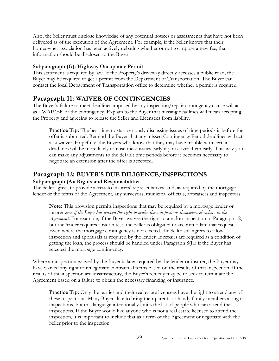Also, the Seller must disclose knowledge of any potential notices or assessments that have not been delivered as of the execution of the Agreement. For example, if the Seller knows that their homeowner association has been actively debating whether or not to impose a new fee, that information should be disclosed to the Buyer.

## **Subparagraph (G): Highway Occupancy Permit**

This statement is required by law. If the Property's driveway directly accesses a public road, the Buyer may be required to get a permit from the Department of Transportation. The Buyer can contact the local Department of Transportation office to determine whether a permit is required.

# <span id="page-28-0"></span>**Paragraph 11: WAIVER OF CONTINGENCIES**

The Buyer's failure to meet deadlines imposed by any inspection/repair contingency clause will act as a WAIVER of the contingency. Explain to the Buyer that missing deadlines will mean accepting the Property and agreeing to release the Seller and Licensees from liability.

**Practice Tip:** The best time to start seriously discussing issues of time periods is before the offer is submitted. Remind the Buyer that any missed Contingency Period deadlines will act as a waiver. Hopefully, the Buyers who know that they may have trouble with certain deadlines will be more likely to raise these issues early if you cover them early. This way you can make any adjustments to the default time periods before it becomes necessary to negotiate an extension after the offer is accepted.

# <span id="page-28-1"></span>**Paragraph 12: BUYER'S DUE DILIGENCE/INSPECTIONS**

#### **Subparagraph (A): Rights and Responsibilities**

The Seller agrees to provide access to insurers' representatives, and, as required by the mortgage lender or the terms of the Agreement, any surveyors, municipal officials, appraisers and inspectors.

**Note:** This provision permits inspections that may be required by a mortgage lender or insurer *even if the Buyer has waived the right to make these inspections themselves elsewhere in the Agreement*. For example, if the Buyer waives the right to a radon inspection in Paragraph 12, but the lender requires a radon test, the Seller is obligated to accommodate that request. Even where the mortgage contingency is not elected, the Seller still agrees to allow inspection and appraisals as required by the lender. If repairs are required as a condition of getting the loan, the process should be handled under Paragraph 8(H) if the Buyer has selected the mortgage contingency.

Where an inspection waived by the Buyer is later required by the lender or insurer, the Buyer may have waived any right to renegotiate contractual terms based on the results of that inspection. If the results of the inspection are unsatisfactory, the Buyer's remedy may be to seek to terminate the Agreement based on a failure to obtain the necessary financing or insurance.

**Practice Tip:** Only the parties and their real estate licensees have the right to attend any of these inspections. Many Buyers like to bring their parents or handy family members along to inspections, but this language intentionally limits the list of people who can attend the inspections. If the Buyer would like anyone who is not a real estate licensee to attend the inspection, it is important to include that as a term of the Agreement or negotiate with the Seller prior to the inspection.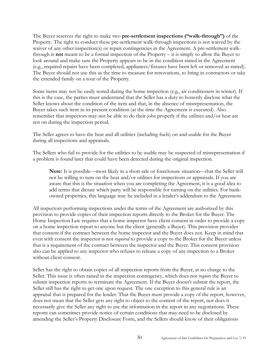The Buyer reserves the right to make two **pre-settlement inspections ("walk-through")** of the Property. The right to conduct these pre-settlement walk-through inspections is not waived by the waiver of any other inspection(s) or repair contingencies in the Agreement. A pre-settlement walkthrough is **not** meant to be a formal inspection of the Property – it is simply to allow the Buyer to look around and make sure the Property appears to be in the condition stated in the Agreement (e.g., required repairs have been completed, appliances/fixtures have been left or removed as stated). The Buyer should not use this as the time to measure for renovations, to bring in contractors or take the extended family on a tour of the Property.

Some items may not be easily tested during the home inspection (e.g., air conditioners in winter). If this is the case, the parties must understand that the Seller has a duty to honestly disclose what the Seller knows about the condition of the item and that, in the absence of misrepresentation, the Buyer takes such item in its present condition (at the time the Agreement is executed). Also remember that inspectors may not be able to do their jobs properly if the utilities and/or heat are not on during the inspection period.

The Seller agrees to have the heat and all utilities (including fuels) on and usable for the Buyer during all inspections and appraisals.

The Sellers who fail to provide for the utilities to be usable may be suspected of misrepresentation if a problem is found later that could have been detected during the original inspection.

**Note:** It is possible—most likely in a short sale or foreclosure situation—that the Seller will not be willing to turn on the heat and/or utilities for inspections or appraisals. If you are aware that this is the situation when you are completing the Agreement, it is a good idea to add terms that dictate which party will be responsible for turning on the utilities. For bankowned properties, this language may be included in a lender's addendum to the Agreement.

All inspectors performing inspections under the terms of the Agreement are authorized by this provision to provide copies of their inspection reports directly to the Broker for the Buyer. The Home Inspection Law requires that a home inspector have client consent in order to provide a copy on a home inspection report to anyone but the client (generally a Buyer). This provision provides that consent if the contract between the home inspector and the Buyer does not. Keep in mind that even with consent the inspector is not *required* to provide a copy to the Broker for the Buyer unless that is a requirement of the contract between the inspector and the Buyer. This consent provision also can be applied to any inspector who refuses to release a copy of any inspection to a Broker without client consent.

Seller has the right to obtain copies of all inspection reports from the Buyer, at no charge to the Seller. This issue is often raised in the inspection contingency, which does not *require* the Buyer to submit inspection reports to terminate the Agreement. If the Buyer doesn't submit the report, the Seller still has the right to get one upon request. The one exception to this general rule is an appraisal that is prepared for the lender. That the Buyer must provide a copy of the report, however, does not mean that the Seller gets any right to object to the content of the report, nor does it necessarily give the Seller any right to use the information in the report in any negotiations. These reports can sometimes provide notice of certain conditions that may need to be disclosed by amending the Seller's Property Disclosure Form, and the Sellers should know of their obligations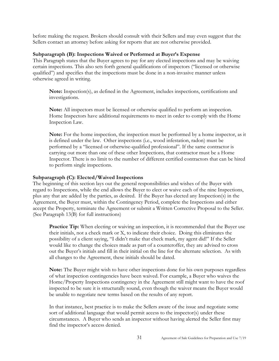before making the request. Brokers should consult with their Sellers and may even suggest that the Sellers contact an attorney before asking for reports that are not otherwise provided.

#### **Subparagraph (B): Inspections Waived or Performed at Buyer's Expense**

This Paragraph states that the Buyer agrees to pay for any elected inspections and may be waiving certain inspections. This also sets forth general qualifications of inspectors ("licensed or otherwise qualified") and specifies that the inspections must be done in a non-invasive manner unless otherwise agreed in writing.

**Note:** Inspection(s), as defined in the Agreement, includes inspections, certifications and investigations.

**Note:** All inspectors must be licensed or otherwise qualified to perform an inspection. Home Inspectors have additional requirements to meet in order to comply with the Home Inspection Law.

**Note:** For the home inspection, the inspection must be performed by a home inspector, as it is defined under the law. Other inspections (i.e., wood infestation, radon) must be performed by a "licensed or otherwise-qualified professional". If the same contractor is carrying out more than one of these other Inspections, that contractor must be a Home Inspector. There is no limit to the number of different certified contractors that can be hired to perform single inspections.

#### **Subparagraph (C): Elected/Waived Inspections**

The beginning of this section lays out the general responsibilities and wishes of the Buyer with regard to Inspections, while the end allows the Buyer to elect or waive each of the nine Inspections, plus any that are added by the parties, as desired. If the Buyer has elected any Inspection(s) in the Agreement, the Buyer must, within the Contingency Period, complete the Inspections and either accept the Property, terminate the Agreement or submit a Written Corrective Proposal to the Seller. (See Paragraph 13(B) for full instructions)

**Practice Tip:** When electing or waiving an inspection, it is recommended that the Buyer use their initials, not a check mark or X, to indicate their choice. Doing this eliminates the possibility of a client saying, "I didn't make that check mark, my agent did!" If the Seller would like to change the choices made as part of a counteroffer, they are advised to cross out the Buyer's initials and fill in their initial on the line for the alternate selection. As with all changes to the Agreement, these initials should be dated.

**Note:** The Buyer might wish to have other inspections done for his own purposes regardless of what inspection contingencies have been waived. For example, a Buyer who waives the Home/Property Inspections contingency in the Agreement still might want to have the roof inspected to be sure it is structurally sound, even though the waiver means the Buyer would be unable to negotiate new terms based on the results of any report.

In that instance, best practice is to make the Sellers aware of the issue and negotiate some sort of additional language that would permit access to the inspector(s) under these circumstances. A Buyer who sends an inspector without having alerted the Seller first may find the inspector's access denied.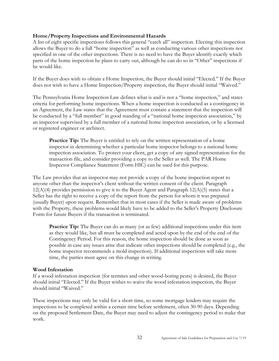#### **Home/Property Inspections and Environmental Hazards**

A list of eight specific inspections follows this general "catch all" inspection. Electing this inspection allows the Buyer to do a full "home inspection" as well as conducting various other inspections not specified in one of the other inspections. There is no need to have the Buyer identify exactly which parts of the home inspection he plans to carry out, although he can do so in "Other" inspections if he would like.

If the Buyer does wish to obtain a Home Inspection, the Buyer should initial "Elected." If the Buyer does not wish to have a Home Inspection/Property inspection, the Buyer should initial "Waived."

The Pennsylvania Home Inspection Law defines what is and is not a "home inspection," and states criteria for performing home inspections. When a home inspection is conducted as a contingency in an Agreement, the Law states that the Agreement must contain a statement that the inspection will be conducted by a "full member" in good standing of a "national home inspection association," by an inspector supervised by a full member of a national home inspection association, or by a licensed or registered engineer or architect.

**Practice Tip:** The Buyer is entitled to rely on the written representation of a home inspector in determining whether a particular home inspector belongs to a national home inspection association. To protect your client, get a copy of any signed representation for the transaction file, and consider providing a copy to the Seller as well. The PAR Home Inspector Compliance Statement (Form HIC) can be used for this purpose.

The Law provides that an inspector may not provide a copy of the home inspection report to anyone other than the inspector's client without the written consent of the client. Paragraph  $12(A)(4)$  provides permission to give it to the Buyer Agent and Paragraph  $12(A)(5)$  states that a Seller has the right to receive a copy of the report from the person for whom it was prepared (usually Buyer) upon request. Remember that in most cases if the Seller is made aware of problems with the Property, these problems would likely have to be added to the Seller's Property Disclosure Form for future Buyers if the transaction is terminated.

**Practice Tip:** The Buyer can do as many (or as few) additional inspections under this item as they would like, but all must be completed and acted upon by the end of the end of the Contingency Period. For this reason, the home inspection should be done as soon as possible in case any issues arise that indicate other inspections should be completed (e.g., the home inspector recommends a mold inspection). If additional inspections will take more time, the parties must agree on this change in writing.

#### **Wood Infestation**

If a wood infestation inspection (for termites and other wood-boring pests) is desired, the Buyer should initial "Elected." If the Buyer wishes to waive the wood infestation inspection, the Buyer should initial "Waived."

These inspections may only be valid for a short time, so some mortgage lenders may require the inspections to be completed within a certain time before settlement, often 30-90 days. Depending on the proposed Settlement Date, the Buyer may need to adjust the contingency period to make that work.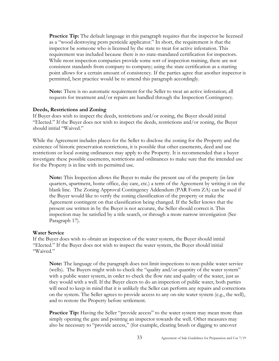**Practice Tip:** The default language in this paragraph requires that the inspector be licensed as a "wood destroying pests pesticide applicator." In short, the requirement is that the inspector be someone who is licensed by the state to treat for active infestation. This requirement was included because there is no state-mandated certification for inspectors. While most inspection companies provide some sort of inspection training, there are not consistent standards from company to company; using the state certification as a starting point allows for a certain amount of consistency. If the parties agree that another inspector is permitted, best practice would be to amend this paragraph accordingly.

**Note:** There is no automatic requirement for the Seller to treat an active infestation; all requests for treatment and/or repairs are handled through the Inspection Contingency.

#### **Deeds, Restrictions and Zoning**

If Buyer does wish to inspect the deeds, restrictions and/or zoning, the Buyer should initial "Elected." If the Buyer does not wish to inspect the deeds, restrictions and/or zoning, the Buyer should initial "Waived."

While the Agreement includes places for the Seller to disclose the zoning for the Property and the existence of historic preservation restrictions, it is possible that other easements, deed and use restrictions or local zoning ordinances may apply to the Property. It is recommended that a buyer investigate these possible easements, restrictions and ordinances to make sure that the intended use for the Property is in line with its permitted use.

**Note:** This Inspection allows the Buyer to make the present use of the property (in-law quarters, apartment, home office, day care, etc.) a term of the Agreement by writing it on the blank line. The Zoning Approval Contingency Addendum (PAR Form ZA) can be used if the Buyer would like to verify the zoning classification of the property or make the Agreement contingent on that classification being changed. If the Seller knows that the present use written in by the Buyer is not accurate, the Seller should correct it. This inspection may be satisfied by a title search, or through a more narrow investigation (See Paragraph 17).

#### **Water Service**

If the Buyer does wish to obtain an inspection of the water system, the Buyer should initial "Elected." If the Buyer does not wish to inspect the water system, the Buyer should initial "Waived."

**Note:** The language of the paragraph does not limit inspections to non-public water service (wells). The Buyers might wish to check the "quality and/or quantity of the water system" with a public water system, in order to check the flow rate and quality of the water, just as they would with a well. If the Buyer elects to do an inspection of public water, both parties will need to keep in mind that it is unlikely the Seller can perform any repairs and corrections on the system. The Seller agrees to provide access to any on-site water system (e.g., the well), and to restore the Property before settlement.

**Practice Tip:** Having the Seller "provide access" to the water system may mean more than simply opening the gate and pointing an inspector towards the well. Other measures may also be necessary to "provide access," (for example, clearing brush or digging to uncover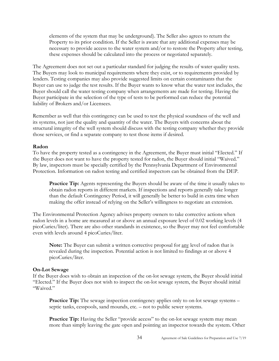elements of the system that may be underground). The Seller also agrees to return the Property to its prior condition. If the Seller is aware that any additional expenses may be necessary to provide access to the water system and/or to restore the Property after testing, these expenses should be calculated into the process or negotiated separately.

The Agreement does not set out a particular standard for judging the results of water quality tests. The Buyers may look to municipal requirements where they exist, or to requirements provided by lenders. Testing companies may also provide suggested limits on certain contaminants that the Buyer can use to judge the test results. If the Buyer wants to know what the water test includes, the Buyer should call the water testing company when arrangements are made for testing. Having the Buyer participate in the selection of the type of tests to be performed can reduce the potential liability of Brokers and/or Licensees.

Remember as well that this contingency can be used to test the physical soundness of the well and its systems, not just the quality and quantity of the water. The Buyers with concerns about the structural integrity of the well system should discuss with the testing company whether they provide those services, or find a separate company to test those items if desired.

#### **Radon**

To have the property tested as a contingency in the Agreement, the Buyer must initial "Elected." If the Buyer does not want to have the property tested for radon, the Buyer should initial "Waived." By law, inspectors must be specially certified by the Pennsylvania Department of Environmental Protection. Information on radon testing and certified inspectors can be obtained from the DEP.

**Practice Tip:** Agents representing the Buyers should be aware of the time it usually takes to obtain radon reports in different markets. If inspections and reports generally take longer than the default Contingency Period, it will generally be better to build in extra time when making the offer instead of relying on the Seller's willingness to negotiate an extension.

The Environmental Protection Agency advises property owners to take corrective actions when radon levels in a home are measured at or above an annual exposure level of 0.02 working levels (4 picoCuries/liter). There are also other standards in existence, so the Buyer may not feel comfortable even with levels around 4 picoCuries/liter.

**Note:** The Buyer can submit a written corrective proposal for any level of radon that is revealed during the inspection. Potential action is not limited to findings at or above 4 picoCuries/liter.

#### **On-Lot Sewage**

If the Buyer does wish to obtain an inspection of the on-lot sewage system, the Buyer should initial "Elected." If the Buyer does not wish to inspect the on-lot sewage system, the Buyer should initial "Waived."

**Practice Tip:** The sewage inspection contingency applies only to on-lot sewage systems – septic tanks, cesspools, sand mounds, etc. – not to public sewer systems.

**Practice Tip:** Having the Seller "provide access" to the on-lot sewage system may mean more than simply leaving the gate open and pointing an inspector towards the system. Other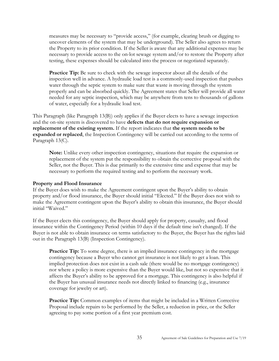measures may be necessary to "provide access," (for example, clearing brush or digging to uncover elements of the system that may be underground). The Seller also agrees to return the Property to its prior condition. If the Seller is aware that any additional expenses may be necessary to provide access to the on-lot sewage system and/or to restore the Property after testing, these expenses should be calculated into the process or negotiated separately.

**Practice Tip:** Be sure to check with the sewage inspector about all the details of the inspection well in advance. A hydraulic load test is a commonly-used inspection that pushes water through the septic system to make sure that waste is moving through the system properly and can be absorbed quickly. The Agreement states that Seller will provide all water needed for any septic inspection, which may be anywhere from tens to thousands of gallons of water, especially for a hydraulic load test.

This Paragraph (like Paragraph 13(B)) only applies if the Buyer elects to have a sewage inspection and the on-site system is discovered to have **defects that do not require expansion or replacement of the existing system.** If the report indicates that **the system needs to be expanded or replaced**, the Inspection Contingency will be carried out according to the terms of Paragraph 13(C).

**Note:** Unlike every other inspection contingency, situations that require the expansion or replacement of the system put the responsibility to obtain the corrective proposal with the Seller, not the Buyer. This is due primarily to the extensive time and expense that may be necessary to perform the required testing and to perform the necessary work.

#### **Property and Flood Insurance**

If the Buyer does wish to make the Agreement contingent upon the Buyer's ability to obtain property and/or flood insurance, the Buyer should initial "Elected." If the Buyer does not wish to make the Agreement contingent upon the Buyer's ability to obtain this insurance, the Buyer should initial "Waived."

If the Buyer elects this contingency, the Buyer should apply for property, casualty, and flood insurance within the Contingency Period (within 10 days if the default time isn't changed). If the Buyer is not able to obtain insurance on terms satisfactory to the Buyer, the Buyer has the rights laid out in the Paragraph 13(B) (Inspection Contingency).

**Practice Tip:** To some degree, there is an implied insurance contingency in the mortgage contingency because a Buyer who cannot get insurance is not likely to get a loan. This implied protection does not exist in a cash sale (there would be no mortgage contingency) nor where a policy is more expensive than the Buyer would like, but not so expensive that it affects the Buyer's ability to be approved for a mortgage. This contingency is also helpful if the Buyer has unusual insurance needs not directly linked to financing (e.g., insurance coverage for jewelry or art).

**Practice Tip:** Common examples of items that might be included in a Written Corrective Proposal include repairs to be performed by the Seller, a reduction in price, or the Seller agreeing to pay some portion of a first year premium cost.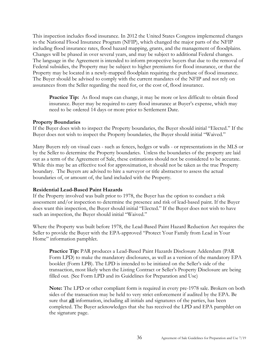This inspection includes flood insurance. In 2012 the United States Congress implemented changes to the National Flood Insurance Program (NFIP), which changed the major parts of the NFIP including flood insurance rates, flood hazard mapping, grants, and the management of floodplains. Changes will be phased in over several years, and may be subject to additional Federal changes. The language in the Agreement is intended to inform prospective buyers that due to the removal of Federal subsidies, the Property may be subject to higher premiums for flood insurance, or that the Property may be located in a newly-mapped floodplain requiring the purchase of flood insurance. The Buyer should be advised to comply with the current mandates of the NFIP and not rely on assurances from the Seller regarding the need for, or the cost of, flood insurance.

**Practice Tip:** As flood maps can change, it may be more or less difficult to obtain flood insurance. Buyer may be required to carry flood insurance at Buyer's expense, which may need to be ordered 14 days or more prior to Settlement Date.

#### **Property Boundaries**

If the Buyer does wish to inspect the Property boundaries, the Buyer should initial "Elected." If the Buyer does not wish to inspect the Property boundaries, the Buyer should initial "Waived."

Many Buyers rely on visual cues - such as fences, hedges or walls - or representations in the MLS or by the Seller to determine the Property boundaries. Unless the boundaries of the property are laid out as a term of the Agreement of Sale, these estimations should not be considered to be accurate. While this may be an effective tool for approximation, it should not be taken as the true Property boundary. The Buyers are advised to hire a surveyor or title abstractor to assess the actual boundaries of, or amount of, the land included with the Property.

#### **Residential Lead-Based Paint Hazards**

If the Property involved was built prior to 1978, the Buyer has the option to conduct a risk assessment and/or inspection to determine the presence and risk of lead-based paint. If the Buyer does want this inspection, the Buyer should initial "Elected." If the Buyer does not wish to have such an inspection, the Buyer should initial "Waived."

Where the Property was built before 1978, the Lead-Based Paint Hazard Reduction Act requires the Seller to provide the Buyer with the EPA-approved "Protect Your Family from Lead in Your Home" information pamphlet.

**Practice Tip:** PAR produces a Lead-Based Paint Hazards Disclosure Addendum (PAR Form LPD) to make the mandatory disclosures, as well as a version of the mandatory EPA booklet (Form LPB). The LPD is intended to be initiated on the Seller's side of the transaction, most likely when the Listing Contract or Seller's Property Disclosure are being filled out. (See Form LPD and its Guidelines for Preparation and Use)

**Note:** The LPD or other compliant form is required in every pre-1978 sale. Brokers on both sides of the transaction may be held to very strict enforcement if audited by the EPA. Be sure that **all** information, including all initials and signatures of the parties, has been completed. The Buyer acknowledges that she has received the LPD and EPA pamphlet on the signature page.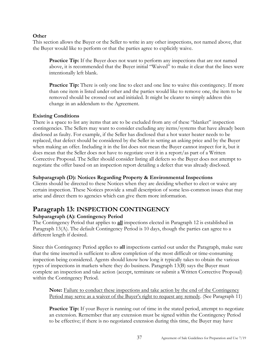#### **Other**

This section allows the Buyer or the Seller to write in any other inspections, not named above, that the Buyer would like to perform or that the parties agree to explicitly waive.

Practice Tip: If the Buyer does not want to perform any inspections that are not named above, it is recommended that the Buyer initial "Waived" to make it clear that the lines were intentionally left blank.

**Practice Tip:** There is only one line to elect and one line to waive this contingency. If more than one item is listed under other and the parties would like to remove one, the item to be removed should be crossed out and initialed. It might be clearer to simply address this change in an addendum to the Agreement.

#### **Existing Conditions**

There is a space to list any items that are to be excluded from any of these "blanket" inspection contingencies. The Sellers may want to consider excluding any items/systems that have already been disclosed as faulty. For example, if the Seller has disclosed that a hot water heater needs to be replaced, that defect should be considered by the Seller in setting an asking price and by the Buyer when making an offer. Including it in the list does not mean the Buyer cannot inspect for it, but it does mean that the Seller does not have to negotiate over it in a report/as part of a Written Corrective Proposal. The Seller should consider listing all defects so the Buyer does not attempt to negotiate the offer based on an inspection report detailing a defect that was already disclosed.

#### **Subparagraph (D): Notices Regarding Property & Environmental Inspections**

Clients should be directed to these Notices when they are deciding whether to elect or waive any certain inspection. These Notices provide a small description of some less-common issues that may arise and direct them to agencies which can give them more information.

# <span id="page-36-0"></span>**Paragraph 13: INSPECTION CONTINGENCY**

#### **Subparagraph (A): Contingency Period**

The Contingency Period that applies to **all** inspections elected in Paragraph 12 is established in Paragraph 13(A). The default Contingency Period is 10 days, though the parties can agree to a different length if desired.

Since this Contingency Period applies to **all** inspections carried out under the Paragraph, make sure that the time inserted is sufficient to allow completion of the most difficult or time-consuming inspection being considered. Agents should know how long it typically takes to obtain the various types of inspections in markets where they do business. Paragraph 13(B) says the Buyer must complete an inspection and take action (accept, terminate or submit a Written Corrective Proposal) within the Contingency Period.

**Note:** Failure to conduct these inspections and take action by the end of the Contingency Period may serve as a waiver of the Buyer's right to request any remedy. (See Paragraph 11)

**Practice Tip:** If your Buyer is running out of time in the stated period, attempt to negotiate an extension. Remember that any extension must be signed within the Contingency Period to be effective; if there is no negotiated extension during this time, the Buyer may have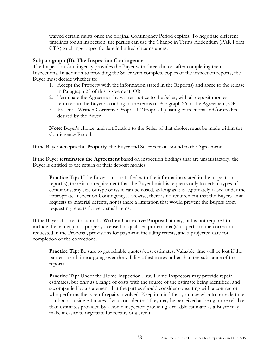waived certain rights once the original Contingency Period expires. To negotiate different timelines for an inspection, the parties can use the Change in Terms Addendum (PAR Form CTA) to change a specific date in limited circumstances.

#### **Subparagraph (B): The Inspection Contingency**

The Inspection Contingency provides the Buyer with three choices after completing their Inspections. In addition to providing the Seller with complete copies of the inspection reports, the Buyer must decide whether to:

- 1. Accept the Property with the information stated in the Report(s) and agree to the release in Paragraph 28 of this Agreement, OR
- 2. Terminate the Agreement by written notice to the Seller, with all deposit monies returned to the Buyer according to the terms of Paragraph 26 of the Agreement, OR
- 3. Present a Written Corrective Proposal ("Proposal") listing corrections and/or credits desired by the Buyer.

**Note:** Buyer's choice, and notification to the Seller of that choice, must be made within the Contingency Period.

If the Buyer **accepts the Property**, the Buyer and Seller remain bound to the Agreement.

If the Buyer **terminates the Agreement** based on inspection findings that are unsatisfactory, the Buyer is entitled to the return of their deposit monies.

**Practice Tip:** If the Buyer is not satisfied with the information stated in the inspection report(s), there is no requirement that the Buyer limit his requests only to certain types of conditions; any size or type of issue can be raised, as long as it is legitimately raised under the appropriate Inspection Contingency. Likewise, there is no requirement that the Buyers limit requests to material defects, nor is there a limitation that would prevent the Buyers from requesting repairs for very small items.

If the Buyer chooses to submit a **Written Corrective Proposal**, it may, but is not required to, include the name(s) of a properly licensed or qualified professional(s) to perform the corrections requested in the Proposal, provisions for payment, including retests, and a projected date for completion of the corrections.

**Practice Tip:** Be sure to get reliable quotes/cost estimates. Valuable time will be lost if the parties spend time arguing over the validity of estimates rather than the substance of the reports.

**Practice Tip:** Under the Home Inspection Law, Home Inspectors may provide repair estimates, but only as a range of costs with the source of the estimate being identified, and accompanied by a statement that the parties should consider consulting with a contractor who performs the type of repairs involved. Keep in mind that you may wish to provide time to obtain outside estimates if you consider that they may be perceived as being more reliable than estimates provided by a home inspector; providing a reliable estimate as a Buyer may make it easier to negotiate for repairs or a credit.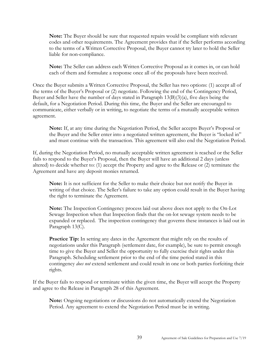**Note:** The Buyer should be sure that requested repairs would be compliant with relevant codes and other requirements. The Agreement provides that if the Seller performs according to the terms of a Written Corrective Proposal, the Buyer cannot try later to hold the Seller liable for non-compliance.

**Note:** The Seller can address each Written Corrective Proposal as it comes in, or can hold each of them and formulate a response once all of the proposals have been received.

Once the Buyer submits a Written Corrective Proposal, the Seller has two options: (1) accept all of the terms of the Buyer's Proposal or (2) negotiate. Following the end of the Contingency Period, Buyer and Seller have the number of days stated in Paragraph 13(B)(3)(a), five days being the default, for a Negotiation Period. During this time, the Buyer and the Seller are encouraged to communicate, either verbally or in writing, to negotiate the terms of a mutually acceptable written agreement.

**Note:** If, at any time during the Negotiation Period, the Seller accepts Buyer's Proposal or the Buyer and the Seller enter into a negotiated written agreement, the Buyer is "locked in" and must continue with the transaction. This agreement will also end the Negotiation Period.

If, during the Negotiation Period, no mutually acceptable written agreement is reached or the Seller fails to respond to the Buyer's Proposal, then the Buyer will have an additional 2 days (unless altered) to decide whether to: (1) accept the Property and agree to the Release or (2) terminate the Agreement and have any deposit monies returned.

**Note:** It is not sufficient for the Seller to make their choice but not notify the Buyer in writing of that choice. The Seller's failure to take any option could result in the Buyer having the right to terminate the Agreement.

**Note:** The Inspection Contingency process laid out above does not apply to the On-Lot Sewage Inspection when that Inspection finds that the on-lot sewage system needs to be expanded or replaced. The inspection contingency that governs these instances is laid out in Paragraph 13(C).

**Practice Tip:** In setting any dates in the Agreement that might rely on the results of negotiations under this Paragraph (settlement date, for example), be sure to permit enough time to give the Buyer and Seller the opportunity to fully exercise their rights under this Paragraph. Scheduling settlement prior to the end of the time period stated in this contingency *does not* extend settlement and could result in one or both parties forfeiting their rights.

If the Buyer fails to respond or terminate within the given time, the Buyer will accept the Property and agree to the Release in Paragraph 28 of this Agreement.

**Note:** Ongoing negotiations or discussions do not automatically extend the Negotiation Period. Any agreement to extend the Negotiation Period must be in writing.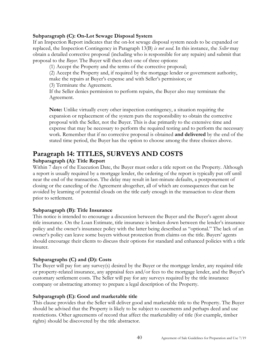#### **Subparagraph (C): On-Lot Sewage Disposal System**

If an Inspection Report indicates that the on-lot sewage disposal system needs to be expanded or replaced, the Inspection Contingency in Paragraph 13(B) *is not used*. In this instance, the *Seller* may obtain a detailed corrective proposal (including who is responsible for any repairs) and submit that proposal to the *Buyer*. The Buyer will then elect one of three options:

(1) Accept the Property and the terms of the corrective proposal;

(2) Accept the Property and, if required by the mortgage lender or government authority, make the repairs at Buyer's expense and with Seller's permission; or

(3) Terminate the Agreement.

If the Seller denies permission to perform repairs, the Buyer also may terminate the Agreement.

**Note:** Unlike virtually every other inspection contingency, a situation requiring the expansion or replacement of the system puts the responsibility to obtain the corrective proposal with the Seller, not the Buyer. This is due primarily to the extensive time and expense that may be necessary to perform the required testing and to perform the necessary work. Remember that if no corrective proposal is obtained **and delivered** by the end of the stated time period, the Buyer has the option to choose among the three choices above.

# <span id="page-39-0"></span>**Paragraph 14: TITLES, SURVEYS AND COSTS**

## **Subparagraph (A): Title Report**

Within 7 days of the Execution Date, the Buyer must order a title report on the Property. Although a report is usually required by a mortgage lender, the ordering of the report is typically put off until near the end of the transaction. The delay may result in last-minute defaults, a postponement of closing or the canceling of the Agreement altogether, all of which are consequences that can be avoided by learning of potential clouds on the title early enough in the transaction to clear them prior to settlement.

## **Subparagraph (B): Title Insurance**

This notice is intended to encourage a discussion between the Buyer and the Buyer's agent about title insurance. On the Loan Estimate, title insurance is broken down between the lender's insurance policy and the owner's insurance policy with the latter being described as "optional." The lack of an owner's policy can leave some buyers without protection from claims on the title. Buyers' agents should encourage their clients to discuss their options for standard and enhanced policies with a title insurer.

## **Subparagraphs (C) and (D): Costs**

The Buyer will pay for: any survey(s) desired by the Buyer or the mortgage lender, any required title or property-related insurance, any appraisal fees and/or fees to the mortgage lender, and the Buyer's customary settlement costs. The Seller will pay for any surveys required by the title insurance company or abstracting attorney to prepare a legal description of the Property.

#### **Subparagraph (E): Good and marketable title**

This clause provides that the Seller will deliver good and marketable title to the Property. The Buyer should be advised that the Property is likely to be subject to easements and perhaps deed and use restrictions. Other agreements of record that affect the marketability of title (for example, timber rights) should be discovered by the title abstractor.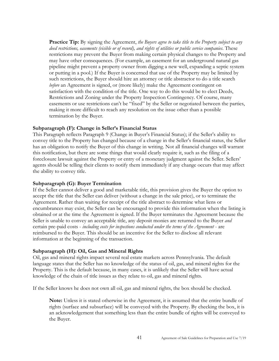**Practice Tip:** By signing the Agreement, *the Buyers agree to take title to the Property subject to any deed restrictions, easements (visible or of record), and rights of utilities or public service companies*. These restrictions may prevent the Buyer from making certain physical changes to the Property and may have other consequences. (For example, an easement for an underground natural gas pipeline might prevent a property owner from digging a new well, expanding a septic system or putting in a pool.) If the Buyer is concerned that use of the Property may be limited by such restrictions, the Buyer should hire an attorney or title abstractor to do a title search *before* an Agreement is signed, or (more likely) make the Agreement contingent on satisfaction with the condition of the title. One way to do this would be to elect Deeds, Restrictions and Zoning under the Property Inspection Contingency. Of course, many easements or use restrictions can't be "fixed" by the Seller or negotiated between the parties, making it more difficult to reach any resolution on the issue other than a possible termination by the Buyer.

#### **Subparagraph (F): Change in Seller's Financial Status**

This Paragraph reflects Paragraph 9 (Change in Buyer's Financial Status); if the Seller's ability to convey title to the Property has changed because of a change in the Seller's financial status, the Seller has an obligation to notify the Buyer of this change in writing. Not all financial changes will warrant this notification, but there are some things that would clearly require it, such as the filing of a foreclosure lawsuit against the Property or entry of a monetary judgment against the Seller. Sellers' agents should be telling their clients to notify them immediately if any change occurs that may affect the ability to convey title.

#### **Subparagraph (G): Buyer Termination**

If the Seller cannot deliver a good and marketable title, this provision gives the Buyer the option to accept the title that the Seller can deliver (without a change in the sale price), or to terminate the Agreement. Rather than waiting for receipt of the title abstract to determine what liens or encumbrances may exist, the Seller can be encouraged to provide this information when the listing is obtained or at the time the Agreement is signed. If the Buyer terminates the Agreement because the Seller is unable to convey an acceptable title, any deposit monies are returned to the Buyer *and*  certain pre-paid costs - *including costs for inspections conducted under the terms of the Agreement* - are reimbursed to the Buyer. This should be an incentive for the Seller to disclose all relevant information at the beginning of the transaction.

#### **Subparagraph (H): Oil, Gas and Mineral Rights**

Oil, gas and mineral rights impact several real estate markets across Pennsylvania. The default language states that the Seller has no knowledge of the status of oil, gas, and mineral rights for the Property. This is the default because, in many cases, it is unlikely that the Seller will have actual knowledge of the chain of title issues as they relate to oil, gas and mineral rights.

If the Seller knows he does not own all oil, gas and mineral rights, the box should be checked.

**Note:** Unless it is stated otherwise in the Agreement, it is assumed that the entire bundle of rights (surface and subsurface) will be conveyed with the Property. By checking the box, it is an acknowledgement that something less than the entire bundle of rights will be conveyed to the Buyer.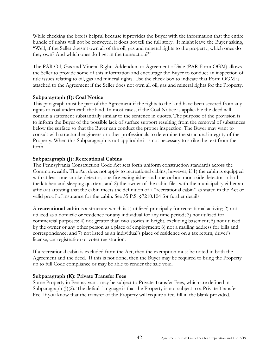While checking the box is helpful because it provides the Buyer with the information that the entire bundle of rights will not be conveyed, it does not tell the full story. It might leave the Buyer asking, "Well, if the Seller doesn't own all of the oil, gas and mineral rights to the property, which ones do they own? And which ones do I get in the transaction?"

The PAR Oil, Gas and Mineral Rights Addendum to Agreement of Sale (PAR Form OGM) allows the Seller to provide some of this information and encourage the Buyer to conduct an inspection of title issues relating to oil, gas and mineral rights. Use the check box to indicate that Form OGM is attached to the Agreement if the Seller does not own all oil, gas and mineral rights for the Property.

#### **Subparagraph (I): Coal Notice**

This paragraph must be part of the Agreement if the rights to the land have been severed from any rights to coal underneath the land. In most cases, if the Coal Notice is applicable the deed will contain a statement substantially similar to the sentence in quotes. The purpose of the provision is to inform the Buyer of the possible lack of surface support resulting from the removal of substances below the surface so that the Buyer can conduct the proper inspection. The Buyer may want to consult with structural engineers or other professionals to determine the structural integrity of the Property. When this Subparagraph is not applicable it is not necessary to strike the text from the form.

## **Subparagraph (J): Recreational Cabins**

The Pennsylvania Construction Code Act sets forth uniform construction standards across the Commonwealth. The Act does not apply to recreational cabins, however, if 1) the cabin is equipped with at least one smoke detector, one fire extinguisher and one carbon monoxide detector in both the kitchen and sleeping quarters; and 2) the owner of the cabin files with the municipality either an affidavit attesting that the cabin meets the definition of a "recreational cabin" as stated in the Act or valid proof of insurance for the cabin. See 35 P.S. §7210.104 for further details.

A **recreational cabin** is a structure which is 1) utilized principally for recreational activity; 2) not utilized as a domicile or residence for any individual for any time period; 3) not utilized for commercial purposes; 4) not greater than two stories in height, excluding basement; 5) not utilized by the owner or any other person as a place of employment; 6) not a mailing address for bills and correspondence; and 7) not listed as an individual's place of residence on a tax return, driver's license, car registration or voter registration.

If a recreational cabin is excluded from the Act, then the exemption must be noted in both the Agreement and the deed. If this is not done, then the Buyer may be required to bring the Property up to full Code compliance or may be able to render the sale void.

#### **Subparagraph (K): Private Transfer Fees**

Some Property in Pennsylvania may be subject to Private Transfer Fees, which are defined in Subparagraph  $(I)(2)$ . The default language is that the Property is not subject to a Private Transfer Fee. If you know that the transfer of the Property will require a fee, fill in the blank provided.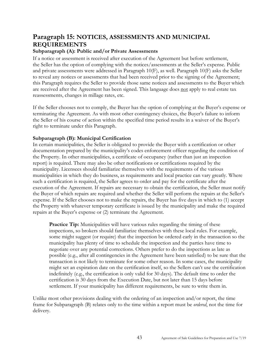# **Paragraph 15: NOTICES, ASSESSMENTS AND MUNICIPAL REQUIREMENTS**

## **Subparagraph (A): Public and/or Private Assessments**

If a notice or assessment is received after execution of the Agreement but before settlement, the Seller has the option of complying with the notices/assessments at the Seller's expense. Public and private assessments were addressed in Paragraph 10(F), as well. Paragraph 10(F) asks the Seller to reveal any notices or assessments that had been received prior to the signing of the Agreement; this Paragraph requires the Seller to provide those same notices and assessments to the Buyer which are received after the Agreement has been signed. This language does not apply to real estate tax reassessments, changes in millage rates, etc.

If the Seller chooses not to comply, the Buyer has the option of complying at the Buyer's expense or terminating the Agreement. As with most other contingency choices, the Buyer's failure to inform the Seller of his course of action within the specified time period results in a waiver of the Buyer's right to terminate under this Paragraph.

#### **Subparagraph (B): Municipal Certification**

In certain municipalities, the Seller is obligated to provide the Buyer with a certification or other documentation prepared by the municipality's codes enforcement officer regarding the condition of the Property. In other municipalities, a certificate of occupancy (rather than just an inspection report) is required. There may also be other notifications or certifications required by the municipality. Licensees should familiarize themselves with the requirements of the various municipalities in which they do business, as requirements and local practice can vary greatly. Where such a certification is required, the Seller agrees to order and pay for the certificate after the execution of the Agreement. If repairs are necessary to obtain the certification, the Seller must notify the Buyer of which repairs are required and whether the Seller will perform the repairs at the Seller's expense. If the Seller chooses not to make the repairs, the Buyer has five days in which to (1) accept the Property with whatever temporary certificate is issued by the municipality and make the required repairs at the Buyer's expense or (2) terminate the Agreement.

**Practice Tip:** Municipalities will have various rules regarding the timing of these inspections, so brokers should familiarize themselves with these local rules. For example, some might suggest (or require) that the inspection be ordered early in the transaction so the municipality has plenty of time to schedule the inspection and the parties have time to negotiate over any potential corrections. Others prefer to do the inspections as late as possible (e.g., after all contingencies in the Agreement have been satisfied) to be sure that the transaction is not likely to terminate for some other reason. In some cases, the municipality might set an expiration date on the certification itself, so the Sellers can't use the certification indefinitely (e.g., the certification is only valid for 30 days). The default time to order the certification is 30 days from the Execution Date, but not later than 15 days before settlement. If your municipality has different requirements, be sure to write them in.

Unlike most other provisions dealing with the ordering of an inspection and/or report, the time frame for Subparagraph (B) relates only to the time within a report must be *ordered*, not the time for delivery.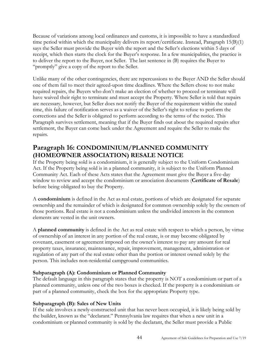Because of variations among local ordinances and customs, it is impossible to have a standardized time period within which the municipality delivers its report/certificate. Instead, Paragraph 15(B)(1) says the Seller must provide the Buyer with the report and the Seller's elections within 5 days of receipt, which then starts the clock for the Buyer's response. In a few municipalities, the practice is to deliver the report to the Buyer, not Seller. The last sentence in (B) requires the Buyer to "promptly" give a copy of the report to the Seller.

Unlike many of the other contingencies, there are repercussions to the Buyer AND the Seller should one of them fail to meet their agreed-upon time deadlines. Where the Sellers chose to not make required repairs, the Buyers who don't make an election of whether to proceed or terminate will have waived their right to terminate and must accept the Property. Where Seller is told that repairs are necessary, however, but Seller does not notify the Buyer of the requirement within the stated time, this failure of notification serves as a waiver of the Seller's right to refuse to perform the corrections and the Seller is obligated to perform according to the terms of the notice. This Paragraph survives settlement, meaning that if the Buyer finds out about the required repairs after settlement, the Buyer can come back under the Agreement and require the Seller to make the repairs.

# <span id="page-43-0"></span>**Paragraph 16: CONDOMINIUM/PLANNED COMMUNITY (HOMEOWNER ASSOCIATION) RESALE NOTICE**

If the Property being sold is a condominium, it is generally subject to the Uniform Condominium Act. If the Property being sold is in a planned community, it is subject to the Uniform Planned Community Act. Each of these Acts states that the Agreement must give the Buyer a five-day window to review and accept the condominium or association documents (**Certificate of Resale**) before being obligated to buy the Property.

A **condominium** is defined in the Act as real estate, portions of which are designated for separate ownership and the remainder of which is designated for common ownership solely by the owners of those portions. Real estate is not a condominium unless the undivided interests in the common elements are vested in the unit owners.

A **planned community** is defined in the Act as real estate with respect to which a person, by virtue of ownership of an interest in any portion of the real estate, is or may become obligated by covenant, easement or agreement imposed on the owner's interest to pay any amount for real property taxes, insurance, maintenance, repair, improvement, management, administration or regulation of any part of the real estate other than the portion or interest owned solely by the person. This includes non-residential campground communities.

## **Subparagraph (A): Condominium or Planned Community**

The default language in this paragraph states that the property is NOT a condominium or part of a planned community, unless one of the two boxes is checked. If the property is a condominium or part of a planned community, check the box for the appropriate Property type.

## **Subparagraph (B): Sales of New Units**

If the sale involves a newly-constructed unit that has never been occupied, it is likely being sold by the builder, known as the "declarant." Pennsylvania law requires that when a new unit in a condominium or planned community is sold by the declarant, the Seller must provide a Public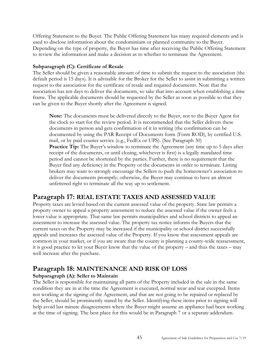Offering Statement to the Buyer. The Public Offering Statement has many required elements and is used to disclose information about the condominium or planned community to the Buyer. Depending on the type of property, the Buyer has time after receiving the Public Offering Statement to review the information and make a decision as to whether to terminate the Agreement.

## **Subparagraph (C): Certificate of Resale**

The Seller should be given a reasonable amount of time to submit the request to the association (the default period is 15 days). It is advisable for the Broker for the Seller to assist in submitting a written request to the association for the certificate of resale and required documents. Note that the association has ten days to deliver the documents, so take that into account when establishing a time frame. The applicable documents should be requested by the Seller as soon as possible so that they can be given to the Buyer shortly after the Agreement is signed.

**Note:** The documents must be delivered directly to the Buyer, not to the Buyer Agent for the clock to start for the review period. It is recommended that the Seller delivers these documents in person and gets confirmation of it in writing (the confirmation can be documented by using the PAR Receipt of Documents form (Form ROD), by certified U.S. mail, or by paid courier service (e.g., FedEx or UPS). (See Paragraph 30) **Practice Tip:** The Buyer's window to terminate the Agreement (any time up to 5 days after receipt of the documents, or until closing, whichever is first) is a legally mandated time period and cannot be shortened by the parties. Further, there is no requirement that the Buyer find any deficiency in the Property or the documents in order to terminate. Listing brokers may want to strongly encourage the Sellers to push the homeowner's association to deliver the documents promptly; otherwise, the Buyer may continue to have an almost unfettered right to terminate all the way up to settlement.

# <span id="page-44-0"></span>**Paragraph 17: REAL ESTATE TAXES AND ASSESSED VALUE**

Property taxes are levied based on the current assessed value of the property. State law permits a property owner to appeal a property assessment to reduce the assessed value if the owner feels a lower value is appropriate. That same law permits municipalities and school districts to appeal an assessment to increase the assessed value. The property tax notice informs the Buyers that the current taxes on the Property may be increased if the municipality or school district successfully appeals and increases the assessed value of the Property. If you know that assessment appeals are common in your market, or if you are aware that the county is planning a county-wide reassessment, it is good practice to let your Buyer know that the value of the property – and thus the taxes – may well increase after the purchase.

# <span id="page-44-1"></span>**Paragraph 18: MAINTENANCE AND RISK OF LOSS**

## **Subparagraph (A): Seller to Maintain**

The Seller is responsible for maintaining all parts of the Property included in the sale in the same condition they are in at the time the Agreement is executed, normal wear and tear excepted. Items not working at the signing of the Agreement, and that are not going to be repaired or replaced by the Seller, should be prominently stated by the Seller. Identifying these items prior to signing will help avoid last minute disagreements where the Buyer might assume an appliance had been working at the time of signing. The best place for this would be in Paragraph 7 or a separate addendum.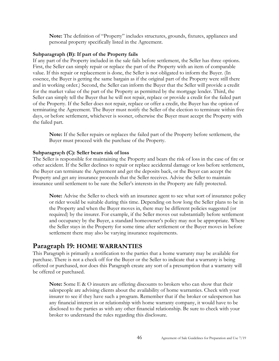**Note:** The definition of "Property" includes structures, grounds, fixtures, appliances and personal property specifically listed in the Agreement.

#### **Subparagraph (B): If part of the Property fails**

If any part of the Property included in the sale fails before settlement, the Seller has three options. First, the Seller can simply repair or replace the part of the Property with an item of comparable value. If this repair or replacement is done, the Seller is not obligated to inform the Buyer. (In essence, the Buyer is getting the same bargain as if the original part of the Property were still there and in working order.) Second, the Seller can inform the Buyer that the Seller will provide a credit for the market value of the part of the Property as permitted by the mortgage lender. Third, the Seller can simply tell the Buyer that he will not repair, replace or provide a credit for the failed part of the Property. If the Seller does not repair, replace or offer a credit, the Buyer has the option of terminating the Agreement. The Buyer must notify the Seller of the election to terminate within five days, or before settlement, whichever is sooner, otherwise the Buyer must accept the Property with the failed part.

**Note:** If the Seller repairs or replaces the failed part of the Property before settlement, the Buyer must proceed with the purchase of the Property.

#### **Subparagra**p**h (C): Seller bears risk of loss**

The Seller is responsible for maintaining the Property and bears the risk of loss in the case of fire or other accident. If the Seller declines to repair or replace accidental damage or loss before settlement, the Buyer can terminate the Agreement and get the deposits back, or the Buyer can accept the Property and get any insurance proceeds that the Seller receives. Advise the Seller to maintain insurance until settlement to be sure the Seller's interests in the Property are fully protected.

**Note:** Advise the Seller to check with an insurance agent to see what sort of insurance policy or rider would be suitable during this time. Depending on how long the Seller plans to be in the Property and when the Buyer moves in, there may be different policies suggested (or required) by the insurer. For example, if the Seller moves out substantially before settlement and occupancy by the Buyer, a standard homeowner's policy may not be appropriate. Where the Seller stays in the Property for some time after settlement or the Buyer moves in before settlement there may also be varying insurance requirements.

## <span id="page-45-0"></span>**Paragraph 19: HOME WARRANTIES**

This Paragraph is primarily a notification to the parties that a home warranty may be available for purchase. There is not a check off for the Buyer or the Seller to indicate that a warranty is being offered or purchased, nor does this Paragraph create any sort of a presumption that a warranty will be offered or purchased.

**Note:** Some E & O insurers are offering discounts to brokers who can show that their salespeople are advising clients about the availability of home warranties. Check with your insurer to see if they have such a program. Remember that if the broker or salesperson has any financial interest in or relationship with home warranty company, it would have to be disclosed to the parties as with any other financial relationship. Be sure to check with your broker to understand the rules regarding this disclosure.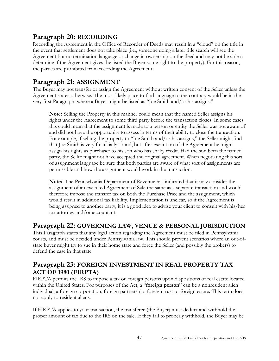# <span id="page-46-0"></span>**Paragraph 20: RECORDING**

Recording the Agreement in the Office of Recorder of Deeds may result in a "cloud" on the title in the event that settlement does not take place (i.e., someone doing a later title search will see the Agreement but no termination language or change in ownership on the deed and may not be able to determine if the Agreement gives the listed the Buyer some right to the property). For this reason, the parties are prohibited from recording the Agreement.

# <span id="page-46-1"></span>**Paragraph 21: ASSIGNMENT**

The Buyer may not transfer or assign the Agreement without written consent of the Seller unless the Agreement states otherwise. The most likely place to find language to the contrary would be in the very first Paragraph, where a Buyer might be listed as "Joe Smith and/or his assigns."

**Note:** Selling the Property in this manner could mean that the named Seller assigns his rights under the Agreement to some third party before the transaction closes. In some cases this could mean that the assignment is made to a person or entity the Seller was not aware of and did not have the opportunity to assess in terms of their ability to close the transaction. For example, if selling the property to "Joe Smith and/or his assigns," the Seller might find that Joe Smith is very financially sound, but after execution of the Agreement he might assign his rights as purchaser to his son who has shaky credit. Had the son been the named party, the Seller might not have accepted the original agreement. When negotiating this sort of assignment language be sure that both parties are aware of what sort of assignments are permissible and how the assignment would work in the transaction.

**Note:** The Pennsylvania Department of Revenue has indicated that it may consider the assignment of an executed Agreement of Sale the same as a separate transaction and would therefore impose the transfer tax on both the Purchase Price and the assignment, which would result in additional tax liability. Implementation is unclear, so if the Agreement is being assigned to another party, it is a good idea to advise your client to consult with his/her tax attorney and/or accountant.

# <span id="page-46-2"></span>**Paragraph 22: GOVERNING LAW, VENUE & PERSONAL JURISDICTION**

This Paragraph states that any legal action regarding the Agreement must be filed in Pennsylvania courts, and must be decided under Pennsylvania law. This should prevent scenarios where an out-ofstate buyer might try to sue in their home state and force the Seller (and possibly the brokers) to defend the case in that state.

# <span id="page-46-3"></span>**Paragraph 23: FOREIGN INVESTMENT IN REAL PROPERTY TAX ACT OF 1980 (FIRPTA)**

FIRPTA permits the IRS to impose a tax on foreign persons upon dispositions of real estate located within the United States. For purposes of the Act, a "**foreign person**" can be a nonresident alien individual, a foreign corporation, foreign partnership, foreign trust or foreign estate. This term does not apply to resident aliens.

If FIRPTA applies to your transaction, the transferee (the Buyer) must deduct and withhold the proper amount of tax due to the IRS on the sale. If they fail to properly withhold, the Buyer may be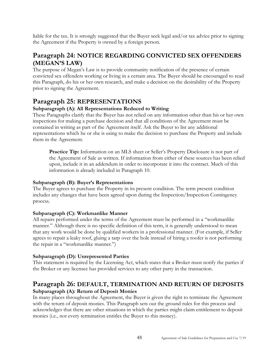liable for the tax. It is strongly suggested that the Buyer seek legal and/or tax advice prior to signing the Agreement if the Property is owned by a foreign person.

# <span id="page-47-0"></span>**Paragraph 24: NOTICE REGARDING CONVICTED SEX OFFENDERS (MEGAN'S LAW)**

The purpose of Megan's Law is to provide community notification of the presence of certain convicted sex offenders working or living in a certain area. The Buyer should be encouraged to read this Paragraph, do his or her own research, and make a decision on the desirability of the Property prior to signing the Agreement.

# <span id="page-47-1"></span>**Paragraph 25: REPRESENTATIONS**

## **Subparagraph (A): All Representations Reduced to Writing**

These Paragraphs clarify that the Buyer has not relied on any information other than his or her own inspections for making a purchase decision and that all conditions of the Agreement must be contained in writing as part of the Agreement itself. Ask the Buyer to list any additional representations which he or she is using to make the decision to purchase the Property and include them in the Agreement.

**Practice Tip:** Information on an MLS sheet or Seller's Property Disclosure is not part of the Agreement of Sale as written. If information from either of these sources has been relied upon, include it in an addendum in order to incorporate it into the contract. Much of this information is already included in Paragraph 10.

## **Subparagraph (B): Buyer's Representations**

The Buyer agrees to purchase the Property in its present condition. The term present condition includes any changes that have been agreed upon during the Inspection/Inspection Contingency process.

## **Subparagraph (C): Workmanlike Manner**

All repairs performed under the terms of the Agreement must be performed in a "workmanlike manner." Although there is no specific definition of this term, it is generally understood to mean that any work would be done by qualified workers in a professional manner. (For example, if Seller agrees to repair a leaky roof, gluing a tarp over the hole instead of hiring a roofer is not performing the repair in a "workmanlike manner.")

## **Subparagraph (D): Unrepresented Parties**

This statement is required by the Licensing Act, which states that a Broker must notify the parties if the Broker or any licensee has provided services to any other party in the transaction.

# <span id="page-47-2"></span>**Paragraph 26: DEFAULT, TERMINATION AND RETURN OF DEPOSITS Subparagraph (A): Return of Deposit Monies**

In many places throughout the Agreement, the Buyer is given the right to terminate the Agreement with the return of deposit monies. This Paragraph sets out the ground rules for this process and acknowledges that there are other situations in which the parties might claim entitlement to deposit monies (i.e., not every termination entitles the Buyer to this money).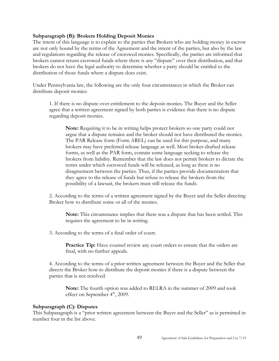#### **Subparagraph (B): Brokers Holding Deposit Monies**

The intent of this language is to explain to the parties that Brokers who are holding money in escrow are not only bound by the terms of the Agreement and the intent of the parties, but also by the law and regulations regarding the release of escrowed monies. Specifically, the parties are informed that brokers cannot return escrowed funds where there is any "dispute" over their distribution, and that brokers do not have the legal authority to determine whether a party should be entitled to the distribution of those funds where a dispute does exist.

Under Pennsylvania law, the following are the only four circumstances in which the Broker can distribute deposit monies:

1. If there is no dispute over entitlement to the deposit monies. The Buyer and the Seller agree that a written agreement signed by both parties is evidence that there is no dispute regarding deposit monies.

**Note:** Requiring it to be in writing helps protect brokers so one party could not argue that a dispute remains and the broker should not have distributed the monies. The PAR Release form (Form AREL) can be used for this purpose, and many brokers may have preferred release language as well. Most broker-drafted release forms, as well as the PAR form, contain some language seeking to release the brokers from liability. Remember that the law does not permit brokers to dictate the terms under which escrowed funds will be released, as long as there is no disagreement between the parties. Thus, if the parties provide documentation that they agree to the release of funds but refuse to release the brokers from the possibility of a lawsuit, the brokers must still release the funds.

2. According to the terms of a written agreement signed by the Buyer and the Seller directing Broker how to distribute some or all of the monies.

**Note:** This circumstance implies that there was a dispute that has been settled. This requires the agreement to be in writing.

3. According to the terms of a final order of court.

**Practice Tip:** Have counsel review any court orders to ensure that the orders are final, with no further appeals.

4. According to the terms of a prior written agreement between the Buyer and the Seller that directs the Broker how to distribute the deposit monies if there is a dispute between the parties that is not resolved.

**Note:** The fourth option was added to RELRA in the summer of 2009 and took effect on September  $4<sup>th</sup>$ , 2009.

#### **Subparagraph (C): Disputes**

This Subparagraph is a "prior written agreement between the Buyer and the Seller" as is permitted in number four in the list above.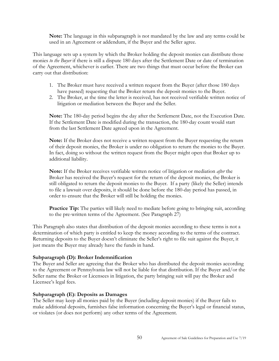**Note:** The language in this subparagraph is not mandated by the law and any terms could be used in an Agreement or addendum, if the Buyer and the Seller agree.

This language sets up a system by which the Broker holding the deposit monies can distribute those monies *to the Buyer* if there is still a dispute 180 days after the Settlement Date or date of termination of the Agreement, whichever is earlier. There are two things that must occur before the Broker can carry out that distribution:

- 1. The Broker must have received a written request from the Buyer (after those 180 days have passed) requesting that the Broker return the deposit monies to the Buyer.
- 2. The Broker, at the time the letter is received, has not received verifiable written notice of litigation or mediation between the Buyer and the Seller.

**Note:** The 180-day period begins the day after the Settlement Date, not the Execution Date. If the Settlement Date is modified during the transaction, the 180-day count would start from the last Settlement Date agreed upon in the Agreement.

**Note:** If the Broker does not receive a written request from the Buyer requesting the return of their deposit monies, the Broker is under no obligation to return the monies to the Buyer. In fact, doing so without the written request from the Buyer might open that Broker up to additional liability.

**Note:** If the Broker receives verifiable written notice of litigation or mediation *after* the Broker has received the Buyer's request for the return of the deposit monies, the Broker is still obligated to return the deposit monies to the Buyer. If a party (likely the Seller) intends to file a lawsuit over deposits, it should be done before the 180-day period has passed, in order to ensure that the Broker will still be holding the monies.

**Practice Tip:** The parties will likely need to mediate before going to bringing suit, according to the pre-written terms of the Agreement. (See Paragraph 27)

This Paragraph also states that distribution of the deposit monies according to these terms is not a determination of which party is entitled to keep the money according to the terms of the contract. Returning deposits to the Buyer doesn't eliminate the Seller's right to file suit against the Buyer, it just means the Buyer may already have the funds in hand.

#### **Subparagraph (D): Broker Indemnification**

The Buyer and Seller are agreeing that the Broker who has distributed the deposit monies according to the Agreement or Pennsylvania law will not be liable for that distribution. If the Buyer and/or the Seller name the Broker or Licensees in litigation, the party bringing suit will pay the Broker and Licensee's legal fees.

#### **Subparagraph (E): Deposits as Damages**

The Seller may keep all monies paid by the Buyer (including deposit monies) if the Buyer fails to make additional deposits, furnishes false information concerning the Buyer's legal or financial status, or violates (or does not perform) any other terms of the Agreement.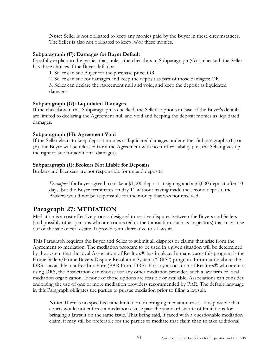**Note:** Seller is not obligated to keep any monies paid by the Buyer in these circumstances. The Seller is also not obligated to keep *all* of these monies.

#### **Subparagraph (F): Damages for Buyer Default**

Carefully explain to the parties that, unless the checkbox in Subparagraph (G) is checked, the Seller has three choices if the Buyer defaults:

1. Seller can sue Buyer for the purchase price; OR

2. Seller can sue for damages and keep the deposit as part of those damages; OR

3. Seller can declare the Agreement null and void, and keep the deposit as liquidated damages.

## **Subparagraph (G): Liquidated Damages**

If the checkbox in this Subparagraph is checked, the Seller's options in case of the Buyer's default are limited to declaring the Agreement null and void and keeping the deposit monies as liquidated damages.

## **Subparagraph (H): Agreement Void**

If the Seller elects to keep deposit monies as liquidated damages under either Subparagraphs (E) or (F), the Buyer will be released from the Agreement with no further liability (i.e., the Seller gives up the right to sue for additional damages).

## **Subparagraph (I): Brokers Not Liable for Deposits**

Brokers and licensees are not responsible for unpaid deposits.

*Example:* If a Buyer agreed to make a \$1,000 deposit at signing and a \$3,000 deposit after 10 days, but the Buyer terminates on day 11 without having made the second deposit, the Brokers would not be responsible for the money that was not received.

# <span id="page-50-0"></span>**Paragraph 27: MEDIATION**

Mediation is a cost-effective process designed to resolve disputes between the Buyers and Sellers (and possibly other persons who are connected to the transaction, such as inspectors) that may arise out of the sale of real estate. It provides an alternative to a lawsuit.

This Paragraph requires the Buyer and Seller to submit all disputes or claims that arise from the Agreement to mediation. The mediation program to be used in a given situation will be determined by the system that the local Association of Realtors® has in place. In many cases this program is the Home Sellers/Home Buyers Dispute Resolution System ("DRS") program. Information about the DRS is available in a free brochure (PAR Form DRS). For any association of Realtors® who are not using DRS, the Association can choose use any other mediation provider, such a law firm or local mediation organization. If none of those options are feasible or available, Associations can consider endorsing the use of one or more mediation providers recommended by PAR. The default language in this Paragraph obligates the parties to pursue mediation prior to filing a lawsuit.

**Note:** There is no specified time limitation on bringing mediation cases. It is possible that courts would not enforce a mediation clause past the standard statute of limitations for bringing a lawsuit on the same issue. That being said, if faced with a questionable mediation claim, it may still be preferable for the parties to mediate that claim than to take additional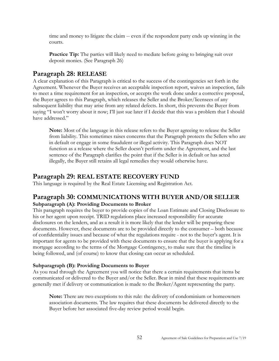time and money to litigate the claim -- even if the respondent party ends up winning in the courts.

**Practice Tip:** The parties will likely need to mediate before going to bringing suit over deposit monies. (See Paragraph 26)

# <span id="page-51-0"></span>**Paragraph 28: RELEASE**

A clear explanation of this Paragraph is critical to the success of the contingencies set forth in the Agreement. Whenever the Buyer receives an acceptable inspection report, waives an inspection, fails to meet a time requirement for an inspection, or accepts the work done under a corrective proposal, the Buyer agrees to this Paragraph, which releases the Seller and the Broker/licensees of any subsequent liability that may arise from any related defects. In short, this prevents the Buyer from saying "I won't worry about it now; I'll just sue later if I decide that this was a problem that I should have addressed."

**Note:** Most of the language in this release refers to the Buyer agreeing to release the Seller from liability. This sometimes raises concerns that the Paragraph protects the Sellers who are in default or engage in some fraudulent or illegal activity. This Paragraph does NOT function as a release where the Seller doesn't perform under the Agreement, and the last sentence of the Paragraph clarifies the point that if the Seller is in default or has acted illegally, the Buyer still retains all legal remedies they would otherwise have.

# <span id="page-51-1"></span>**Paragraph 29: REAL ESTATE RECOVERY FUND**

This language is required by the Real Estate Licensing and Registration Act.

# <span id="page-51-2"></span>**Paragraph 30: COMMUNICATIONS WITH BUYER AND/OR SELLER Subparagraph (A): Providing Documents to Broker**

This paragraph requires the buyer to provide copies of the Loan Estimate and Closing Disclosure to his or her agent upon receipt. TRID regulations place increased responsibility for accurate disclosures on the lenders, and as a result it is more likely that the lender will be preparing these documents. However, these documents are to be provided directly to the consumer – both because of confidentiality issues and because of what the regulations require - not to the buyer's agent. It is important for agents to be provided with these documents to ensure that the buyer is applying for a mortgage according to the terms of the Mortgage Contingency, to make sure that the timeline is being followed, and (of course) to know that closing can occur as scheduled.

## **Subparagraph (B): Providing Documents to Buyer**

As you read through the Agreement you will notice that there a certain requirements that items be communicated or delivered to the Buyer and/or the Seller. Bear in mind that these requirements are generally met if delivery or communication is made to the Broker/Agent representing the party.

**Note:** There are two exceptions to this rule: the delivery of condominium or homeowners association documents. The law requires that these documents be delivered directly to the Buyer before her associated five-day review period would begin.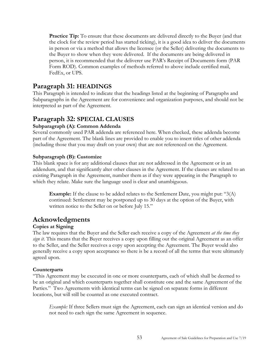**Practice Tip:** To ensure that these documents are delivered directly to the Buyer (and that the clock for the review period has started ticking), it is a good idea to deliver the documents in person or via a method that allows the licensee (or the Seller) delivering the documents to the Buyer to show when they were delivered. If the documents are being delivered in person, it is recommended that the deliverer use PAR's Receipt of Documents form (PAR Form ROD). Common examples of methods referred to above include certified mail, FedEx, or UPS.

# <span id="page-52-0"></span>**Paragraph 31: HEADINGS**

This Paragraph is intended to indicate that the headings listed at the beginning of Paragraphs and Subparagraphs in the Agreement are for convenience and organization purposes, and should not be interpreted as part of the Agreement.

# <span id="page-52-1"></span>**Paragraph 32: SPECIAL CLAUSES**

## **Subparagraph (A): Common Addenda**

Several commonly used PAR addenda are referenced here. When checked, these addenda become part of the Agreement. The blank lines are provided to enable you to insert titles of other addenda (including those that you may draft on your own) that are not referenced on the Agreement.

## **Subparagraph (B): Customize**

This blank space is for any additional clauses that are not addressed in the Agreement or in an addendum, and that significantly alter other clauses in the Agreement. If the clauses are related to an existing Paragraph in the Agreement, number them as if they were appearing in the Paragraph to which they relate. Make sure the language used is clear and unambiguous.

**Example:** If the clause to be added relates to the Settlement Date, you might put: "3(A) continued: Settlement may be postponed up to 30 days at the option of the Buyer, with written notice to the Seller on or before July 15."

# <span id="page-52-2"></span>**Acknowledgments**

## **Copies at Signing**

The law requires that the Buyer and the Seller each receive a copy of the Agreement *at the time they sign it*. This means that the Buyer receives a copy upon filling out the original Agreement as an offer to the Seller, and the Seller receives a copy upon accepting the Agreement. The Buyer would also generally receive a copy upon acceptance so there is be a record of all the terms that were ultimately agreed upon.

## **Counterparts**

"This Agreement may be executed in one or more counterparts, each of which shall be deemed to be an original and which counterparts together shall constitute one and the same Agreement of the Parties." Two Agreements with identical terms can be signed on separate forms in different locations, but will still be counted as one executed contract.

*Example:* If three Sellers must sign the Agreement, each can sign an identical version and do not need to each sign the same Agreement in sequence.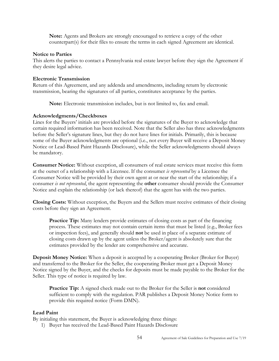**Note:** Agents and Brokers are strongly encouraged to retrieve a copy of the other counterpart(s) for their files to ensure the terms in each signed Agreement are identical.

#### **Notice to Parties**

This alerts the parties to contact a Pennsylvania real estate lawyer before they sign the Agreement if they desire legal advice.

#### **Electronic Transmission**

Return of this Agreement, and any addenda and amendments, including return by electronic transmission, bearing the signatures of all parties, constitutes acceptance by the parties.

**Note:** Electronic transmission includes, but is not limited to, fax and email.

## **Acknowledgments/Checkboxes**

Lines for the Buyers' initials are provided before the signatures of the Buyer to acknowledge that certain required information has been received. Note that the Seller also has three acknowledgments before the Seller's signature lines, but they do not have lines for initials. Primarily, this is because some of the Buyer acknowledgments are optional (i.e., not every Buyer will receive a Deposit Money Notice or Lead-Based Paint Hazards Disclosure), while the Seller acknowledgments should always be mandatory.

**Consumer Notice:** Without exception, all consumers of real estate services must receive this form at the outset of a relationship with a Licensee. If the consumer *is represented* by a Licensee the Consumer Notice will be provided by their own agent at or near the start of the relationship; if a consumer *is not represented*, the agent representing the **other** consumer should provide the Consumer Notice and explain the relationship (or lack thereof) that the agent has with the two parties.

**Closing Costs:** Without exception, the Buyers and the Sellers must receive estimates of their closing costs before they sign an Agreement.

**Practice Tip:** Many lenders provide estimates of closing costs as part of the financing process. These estimates may not contain certain items that must be listed (e.g., Broker fees or inspection fees), and generally should **not** be used in place of a separate estimate of closing costs drawn up by the agent unless the Broker/agent is absolutely sure that the estimates provided by the lender are comprehensive and accurate.

**Deposit Money Notice:** When a deposit is accepted by a cooperating Broker (Broker for Buyer) and transferred to the Broker for the Seller, the cooperating Broker must get a Deposit Money Notice signed by the Buyer, and the checks for deposits must be made payable to the Broker for the Seller. This type of notice is required by law.

**Practice Tip:** A signed check made out to the Broker for the Seller is **not** considered sufficient to comply with the regulation. PAR publishes a Deposit Money Notice form to provide this required notice (Form DMN).

## **Lead Paint**

By initialing this statement, the Buyer is acknowledging three things:

1) Buyer has received the Lead-Based Paint Hazards Disclosure